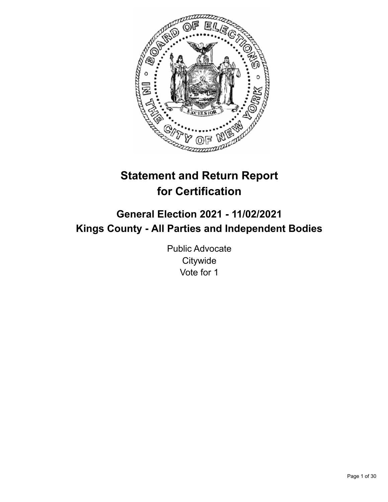

# **Statement and Return Report for Certification**

# **General Election 2021 - 11/02/2021 Kings County - All Parties and Independent Bodies**

Public Advocate **Citywide** Vote for 1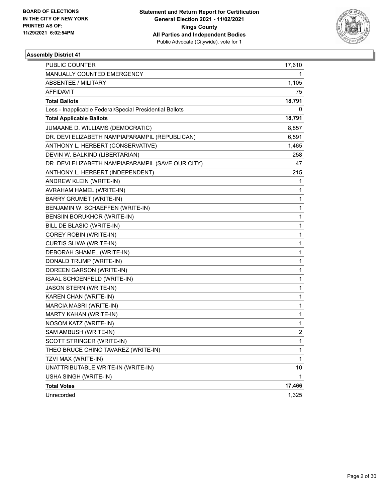

| <b>PUBLIC COUNTER</b>                                    | 17,610       |
|----------------------------------------------------------|--------------|
| MANUALLY COUNTED EMERGENCY                               | 1            |
| <b>ABSENTEE / MILITARY</b>                               | 1,105        |
| AFFIDAVIT                                                | 75           |
| <b>Total Ballots</b>                                     | 18,791       |
| Less - Inapplicable Federal/Special Presidential Ballots | 0            |
| <b>Total Applicable Ballots</b>                          | 18,791       |
| JUMAANE D. WILLIAMS (DEMOCRATIC)                         | 8,857        |
| DR. DEVI ELIZABETH NAMPIAPARAMPIL (REPUBLICAN)           | 6,591        |
| ANTHONY L. HERBERT (CONSERVATIVE)                        | 1,465        |
| DEVIN W. BALKIND (LIBERTARIAN)                           | 258          |
| DR. DEVI ELIZABETH NAMPIAPARAMPIL (SAVE OUR CITY)        | 47           |
| ANTHONY L. HERBERT (INDEPENDENT)                         | 215          |
| ANDREW KLEIN (WRITE-IN)                                  | 1            |
| AVRAHAM HAMEL (WRITE-IN)                                 | 1            |
| BARRY GRUMET (WRITE-IN)                                  | 1            |
| BENJAMIN W. SCHAEFFEN (WRITE-IN)                         | 1            |
| BENSIIN BORUKHOR (WRITE-IN)                              | 1            |
| BILL DE BLASIO (WRITE-IN)                                | 1            |
| COREY ROBIN (WRITE-IN)                                   | 1            |
| CURTIS SLIWA (WRITE-IN)                                  | 1            |
| DEBORAH SHAMEL (WRITE-IN)                                | 1            |
| DONALD TRUMP (WRITE-IN)                                  | 1            |
| DOREEN GARSON (WRITE-IN)                                 | 1            |
| ISAAL SCHOENFELD (WRITE-IN)                              | 1            |
| JASON STERN (WRITE-IN)                                   | 1            |
| KAREN CHAN (WRITE-IN)                                    | 1            |
| MARCIA MASRI (WRITE-IN)                                  | 1            |
| MARTY KAHAN (WRITE-IN)                                   | 1            |
| NOSOM KATZ (WRITE-IN)                                    | 1            |
| SAM AMBUSH (WRITE-IN)                                    | 2            |
| SCOTT STRINGER (WRITE-IN)                                | $\mathbf{1}$ |
| THEO BRUCE CHINO TAVAREZ (WRITE-IN)                      | 1            |
| TZVI MAX (WRITE-IN)                                      | 1            |
| UNATTRIBUTABLE WRITE-IN (WRITE-IN)                       | 10           |
| USHA SINGH (WRITE-IN)                                    | 1            |
| <b>Total Votes</b>                                       | 17,466       |
| Unrecorded                                               | 1,325        |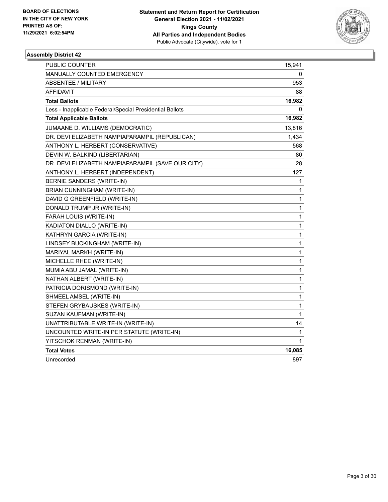

| PUBLIC COUNTER                                           | 15,941       |
|----------------------------------------------------------|--------------|
| <b>MANUALLY COUNTED EMERGENCY</b>                        | 0            |
| <b>ABSENTEE / MILITARY</b>                               | 953          |
| <b>AFFIDAVIT</b>                                         | 88           |
| <b>Total Ballots</b>                                     | 16,982       |
| Less - Inapplicable Federal/Special Presidential Ballots | 0            |
| <b>Total Applicable Ballots</b>                          | 16,982       |
| JUMAANE D. WILLIAMS (DEMOCRATIC)                         | 13,816       |
| DR. DEVI ELIZABETH NAMPIAPARAMPIL (REPUBLICAN)           | 1,434        |
| ANTHONY L. HERBERT (CONSERVATIVE)                        | 568          |
| DEVIN W. BALKIND (LIBERTARIAN)                           | 80           |
| DR. DEVI ELIZABETH NAMPIAPARAMPIL (SAVE OUR CITY)        | 28           |
| ANTHONY L. HERBERT (INDEPENDENT)                         | 127          |
| BERNIE SANDERS (WRITE-IN)                                | 1            |
| BRIAN CUNNINGHAM (WRITE-IN)                              | 1            |
| DAVID G GREENFIELD (WRITE-IN)                            | 1            |
| DONALD TRUMP JR (WRITE-IN)                               | 1            |
| FARAH LOUIS (WRITE-IN)                                   | 1            |
| KADIATON DIALLO (WRITE-IN)                               | 1            |
| KATHRYN GARCIA (WRITE-IN)                                | 1            |
| LINDSEY BUCKINGHAM (WRITE-IN)                            | 1            |
| MARIYAL MARKH (WRITE-IN)                                 | 1            |
| MICHELLE RHEE (WRITE-IN)                                 | 1            |
| MUMIA ABU JAMAL (WRITE-IN)                               | 1            |
| NATHAN ALBERT (WRITE-IN)                                 | 1            |
| PATRICIA DORISMOND (WRITE-IN)                            | $\mathbf{1}$ |
| SHMEEL AMSEL (WRITE-IN)                                  | 1            |
| STEFEN GRYBAUSKES (WRITE-IN)                             | 1            |
| SUZAN KAUFMAN (WRITE-IN)                                 | 1            |
| UNATTRIBUTABLE WRITE-IN (WRITE-IN)                       | 14           |
| UNCOUNTED WRITE-IN PER STATUTE (WRITE-IN)                | 1            |
| YITSCHOK RENMAN (WRITE-IN)                               | 1            |
| <b>Total Votes</b>                                       | 16,085       |
| Unrecorded                                               | 897          |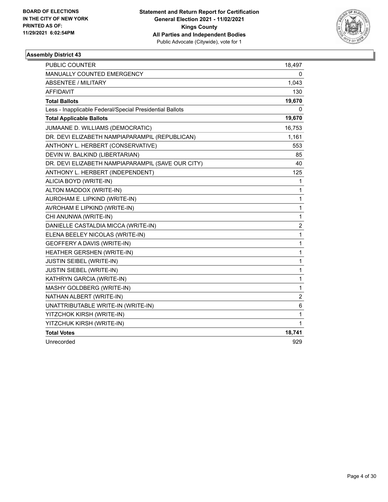

| <b>PUBLIC COUNTER</b>                                    | 18,497         |
|----------------------------------------------------------|----------------|
| <b>MANUALLY COUNTED EMERGENCY</b>                        | 0              |
| <b>ABSENTEE / MILITARY</b>                               | 1,043          |
| AFFIDAVIT                                                | 130            |
| <b>Total Ballots</b>                                     | 19,670         |
| Less - Inapplicable Federal/Special Presidential Ballots | 0              |
| <b>Total Applicable Ballots</b>                          | 19,670         |
| JUMAANE D. WILLIAMS (DEMOCRATIC)                         | 16,753         |
| DR. DEVI ELIZABETH NAMPIAPARAMPIL (REPUBLICAN)           | 1,161          |
| ANTHONY L. HERBERT (CONSERVATIVE)                        | 553            |
| DEVIN W. BALKIND (LIBERTARIAN)                           | 85             |
| DR. DEVI ELIZABETH NAMPIAPARAMPIL (SAVE OUR CITY)        | 40             |
| ANTHONY L. HERBERT (INDEPENDENT)                         | 125            |
| ALICIA BOYD (WRITE-IN)                                   | 1              |
| ALTON MADDOX (WRITE-IN)                                  | 1              |
| AUROHAM E. LIPKIND (WRITE-IN)                            | 1              |
| AVROHAM E LIPKIND (WRITE-IN)                             | 1              |
| CHI ANUNWA (WRITE-IN)                                    | 1              |
| DANIELLE CASTALDIA MICCA (WRITE-IN)                      | 2              |
| ELENA BEELEY NICOLAS (WRITE-IN)                          | 1              |
| GEOFFERY A DAVIS (WRITE-IN)                              | 1              |
| HEATHER GERSHEN (WRITE-IN)                               | 1              |
| JUSTIN SEIBEL (WRITE-IN)                                 | 1              |
| <b>JUSTIN SIEBEL (WRITE-IN)</b>                          | 1              |
| KATHRYN GARCIA (WRITE-IN)                                | 1              |
| MASHY GOLDBERG (WRITE-IN)                                | 1              |
| NATHAN ALBERT (WRITE-IN)                                 | $\overline{2}$ |
| UNATTRIBUTABLE WRITE-IN (WRITE-IN)                       | 6              |
| YITZCHOK KIRSH (WRITE-IN)                                | 1              |
| YITZCHUK KIRSH (WRITE-IN)                                | 1              |
| <b>Total Votes</b>                                       | 18,741         |
| Unrecorded                                               | 929            |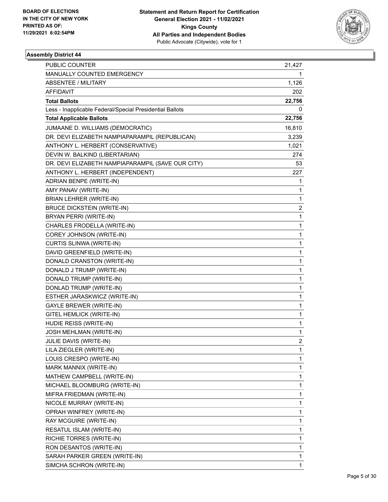

| PUBLIC COUNTER                                           | 21,427         |
|----------------------------------------------------------|----------------|
| MANUALLY COUNTED EMERGENCY                               | 1.             |
| <b>ABSENTEE / MILITARY</b>                               | 1,126          |
| AFFIDAVIT                                                | 202            |
| <b>Total Ballots</b>                                     | 22,756         |
| Less - Inapplicable Federal/Special Presidential Ballots | 0              |
| <b>Total Applicable Ballots</b>                          | 22,756         |
| JUMAANE D. WILLIAMS (DEMOCRATIC)                         | 16,810         |
| DR. DEVI ELIZABETH NAMPIAPARAMPIL (REPUBLICAN)           | 3,239          |
| ANTHONY L. HERBERT (CONSERVATIVE)                        | 1,021          |
| DEVIN W. BALKIND (LIBERTARIAN)                           | 274            |
| DR. DEVI ELIZABETH NAMPIAPARAMPIL (SAVE OUR CITY)        | 53             |
| ANTHONY L. HERBERT (INDEPENDENT)                         | 227            |
| ADRIAN BENPE (WRITE-IN)                                  | 1              |
| AMY PANAV (WRITE-IN)                                     | 1              |
| <b>BRIAN LEHRER (WRITE-IN)</b>                           | 1              |
| <b>BRUCE DICKSTEIN (WRITE-IN)</b>                        | 2              |
| BRYAN PERRI (WRITE-IN)                                   | 1              |
| CHARLES FRODELLA (WRITE-IN)                              | 1              |
| COREY JOHNSON (WRITE-IN)                                 | 1              |
| CURTIS SLINWA (WRITE-IN)                                 | 1              |
| DAVID GREENFIELD (WRITE-IN)                              | 1              |
| DONALD CRANSTON (WRITE-IN)                               | 1              |
| DONALD J TRUMP (WRITE-IN)                                | 1              |
| DONALD TRUMP (WRITE-IN)                                  | 1              |
| DONLAD TRUMP (WRITE-IN)                                  | 1              |
| ESTHER JARASKWICZ (WRITE-IN)                             | 1              |
| GAYLE BREWER (WRITE-IN)                                  | 1              |
| GITEL HEMLICK (WRITE-IN)                                 | 1              |
| HUDIE REISS (WRITE-IN)                                   | 1              |
| <b>JOSH MEHLMAN (WRITE-IN)</b>                           | 1              |
| JULIE DAVIS (WRITE-IN)                                   | $\overline{c}$ |
| LILA ZIEGLER (WRITE-IN)                                  | 1              |
| LOUIS CRESPO (WRITE-IN)                                  | 1              |
| MARK MANNIX (WRITE-IN)                                   | 1              |
| MATHEW CAMPBELL (WRITE-IN)                               | 1              |
| MICHAEL BLOOMBURG (WRITE-IN)                             | 1              |
| MIFRA FRIEDMAN (WRITE-IN)                                | 1              |
| NICOLE MURRAY (WRITE-IN)                                 | 1              |
| OPRAH WINFREY (WRITE-IN)                                 | 1              |
| RAY MCGUIRE (WRITE-IN)                                   | 1              |
| RESATUL ISLAM (WRITE-IN)                                 | 1              |
| RICHIE TORRES (WRITE-IN)                                 | 1              |
| RON DESANTOS (WRITE-IN)                                  | 1              |
| SARAH PARKER GREEN (WRITE-IN)                            | 1              |
| SIMCHA SCHRON (WRITE-IN)                                 | 1              |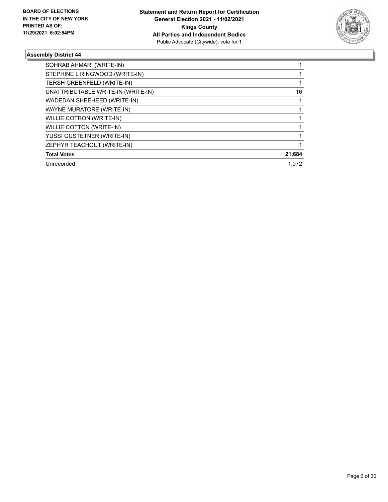

| SOHRAB AHMARI (WRITE-IN)           |        |
|------------------------------------|--------|
| STEPHINE L RINGWOOD (WRITE-IN)     |        |
| TERSH GREENFELD (WRITE-IN)         |        |
| UNATTRIBUTABLE WRITE-IN (WRITE-IN) | 16     |
| WADEDAN SHEEHEED (WRITE-IN)        |        |
| WAYNE MURATORE (WRITE-IN)          |        |
| WILLIE COTRON (WRITE-IN)           |        |
| WILLIE COTTON (WRITE-IN)           |        |
| YUSSI GUSTETNER (WRITE-IN)         |        |
| ZEPHYR TEACHOUT (WRITE-IN)         |        |
| <b>Total Votes</b>                 | 21,684 |
| Unrecorded                         | 1.072  |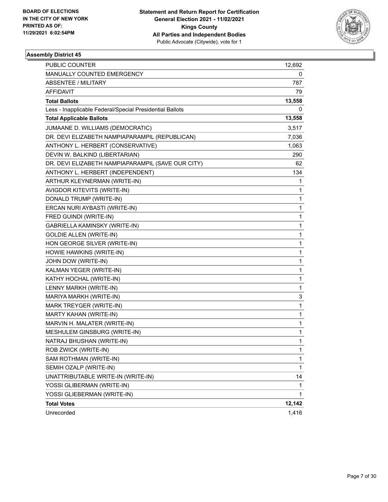

| PUBLIC COUNTER                                           | 12,692       |
|----------------------------------------------------------|--------------|
| MANUALLY COUNTED EMERGENCY                               | 0            |
| <b>ABSENTEE / MILITARY</b>                               | 787          |
| AFFIDAVIT                                                | 79           |
| <b>Total Ballots</b>                                     | 13,558       |
| Less - Inapplicable Federal/Special Presidential Ballots | 0            |
| <b>Total Applicable Ballots</b>                          | 13,558       |
| JUMAANE D. WILLIAMS (DEMOCRATIC)                         | 3,517        |
| DR. DEVI ELIZABETH NAMPIAPARAMPIL (REPUBLICAN)           | 7,036        |
| ANTHONY L. HERBERT (CONSERVATIVE)                        | 1,063        |
| DEVIN W. BALKIND (LIBERTARIAN)                           | 290          |
| DR. DEVI ELIZABETH NAMPIAPARAMPIL (SAVE OUR CITY)        | 62           |
| ANTHONY L. HERBERT (INDEPENDENT)                         | 134          |
| ARTHUR KLEYNERMAN (WRITE-IN)                             | 1            |
| AVIGDOR KITEVITS (WRITE-IN)                              | 1            |
| DONALD TRUMP (WRITE-IN)                                  | 1            |
| ERCAN NURI AYBASTI (WRITE-IN)                            | 1            |
| FRED GUINDI (WRITE-IN)                                   | 1            |
| GABRIELLA KAMINSKY (WRITE-IN)                            | 1            |
| <b>GOLDIE ALLEN (WRITE-IN)</b>                           | 1            |
| HON GEORGE SILVER (WRITE-IN)                             | 1            |
| HOWIE HAWKINS (WRITE-IN)                                 | 1            |
| JOHN DOW (WRITE-IN)                                      | 1            |
| KALMAN YEGER (WRITE-IN)                                  | 1            |
| KATHY HOCHAL (WRITE-IN)                                  | 1            |
| LENNY MARKH (WRITE-IN)                                   | 1            |
| MARIYA MARKH (WRITE-IN)                                  | 3            |
| MARK TREYGER (WRITE-IN)                                  | 1            |
| MARTY KAHAN (WRITE-IN)                                   | 1            |
| MARVIN H. MALATER (WRITE-IN)                             | 1            |
| MESHULEM GINSBURG (WRITE-IN)                             | 1            |
| NATRAJ BHUSHAN (WRITE-IN)                                | 1            |
| ROB ZWICK (WRITE-IN)                                     | 1            |
| SAM ROTHMAN (WRITE-IN)                                   | 1            |
| SEMIH OZALP (WRITE-IN)                                   | $\mathbf{1}$ |
| UNATTRIBUTABLE WRITE-IN (WRITE-IN)                       | 14           |
| YOSSI GLIBERMAN (WRITE-IN)                               | 1            |
| YOSSI GLIEBERMAN (WRITE-IN)                              | 1            |
| <b>Total Votes</b>                                       | 12,142       |
| Unrecorded                                               | 1,416        |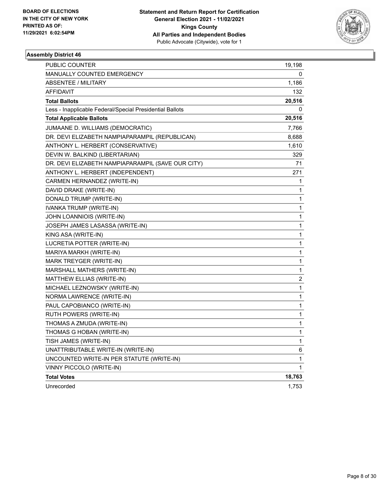

| PUBLIC COUNTER                                           | 19,198       |
|----------------------------------------------------------|--------------|
| <b>MANUALLY COUNTED EMERGENCY</b>                        | 0            |
| <b>ABSENTEE / MILITARY</b>                               | 1,186        |
| <b>AFFIDAVIT</b>                                         | 132          |
| <b>Total Ballots</b>                                     | 20,516       |
| Less - Inapplicable Federal/Special Presidential Ballots | 0            |
| <b>Total Applicable Ballots</b>                          | 20,516       |
| JUMAANE D. WILLIAMS (DEMOCRATIC)                         | 7,766        |
| DR. DEVI ELIZABETH NAMPIAPARAMPIL (REPUBLICAN)           | 8,688        |
| ANTHONY L. HERBERT (CONSERVATIVE)                        | 1,610        |
| DEVIN W. BALKIND (LIBERTARIAN)                           | 329          |
| DR. DEVI ELIZABETH NAMPIAPARAMPIL (SAVE OUR CITY)        | 71           |
| ANTHONY L. HERBERT (INDEPENDENT)                         | 271          |
| CARMEN HERNANDEZ (WRITE-IN)                              | 1            |
| DAVID DRAKE (WRITE-IN)                                   | 1            |
| DONALD TRUMP (WRITE-IN)                                  | 1            |
| IVANKA TRUMP (WRITE-IN)                                  | 1            |
| JOHN LOANNIOIS (WRITE-IN)                                | 1            |
| JOSEPH JAMES LASASSA (WRITE-IN)                          | 1            |
| KING ASA (WRITE-IN)                                      | 1            |
| LUCRETIA POTTER (WRITE-IN)                               | 1            |
| MARIYA MARKH (WRITE-IN)                                  | 1            |
| MARK TREYGER (WRITE-IN)                                  | 1            |
| MARSHALL MATHERS (WRITE-IN)                              | 1            |
| MATTHEW ELLIAS (WRITE-IN)                                | 2            |
| MICHAEL LEZNOWSKY (WRITE-IN)                             | $\mathbf{1}$ |
| NORMA LAWRENCE (WRITE-IN)                                | 1            |
| PAUL CAPOBIANCO (WRITE-IN)                               | 1            |
| RUTH POWERS (WRITE-IN)                                   | 1            |
| THOMAS A ZMUDA (WRITE-IN)                                | 1            |
| THOMAS G HOBAN (WRITE-IN)                                | 1            |
| TISH JAMES (WRITE-IN)                                    | 1            |
| UNATTRIBUTABLE WRITE-IN (WRITE-IN)                       | 6            |
| UNCOUNTED WRITE-IN PER STATUTE (WRITE-IN)                | 1            |
| VINNY PICCOLO (WRITE-IN)                                 | 1            |
| <b>Total Votes</b>                                       | 18,763       |
| Unrecorded                                               | 1,753        |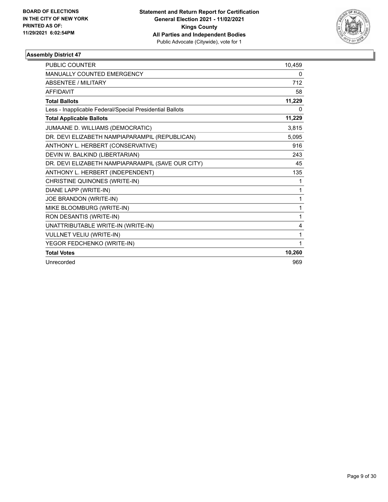

| <b>PUBLIC COUNTER</b>                                    | 10,459 |
|----------------------------------------------------------|--------|
| <b>MANUALLY COUNTED EMERGENCY</b>                        | 0      |
| <b>ABSENTEE / MILITARY</b>                               | 712    |
| <b>AFFIDAVIT</b>                                         | 58     |
| <b>Total Ballots</b>                                     | 11,229 |
| Less - Inapplicable Federal/Special Presidential Ballots | 0      |
| <b>Total Applicable Ballots</b>                          | 11,229 |
| JUMAANE D. WILLIAMS (DEMOCRATIC)                         | 3,815  |
| DR. DEVI ELIZABETH NAMPIAPARAMPIL (REPUBLICAN)           | 5,095  |
| ANTHONY L. HERBERT (CONSERVATIVE)                        | 916    |
| DEVIN W. BALKIND (LIBERTARIAN)                           | 243    |
| DR. DEVI ELIZABETH NAMPIAPARAMPIL (SAVE OUR CITY)        | 45     |
| ANTHONY L. HERBERT (INDEPENDENT)                         | 135    |
| CHRISTINE QUINONES (WRITE-IN)                            | 1      |
| DIANE LAPP (WRITE-IN)                                    | 1      |
| JOE BRANDON (WRITE-IN)                                   | 1      |
| MIKE BLOOMBURG (WRITE-IN)                                | 1      |
| RON DESANTIS (WRITE-IN)                                  | 1      |
| UNATTRIBUTABLE WRITE-IN (WRITE-IN)                       | 4      |
| VULLNET VELIU (WRITE-IN)                                 | 1      |
| YEGOR FEDCHENKO (WRITE-IN)                               | 1      |
| <b>Total Votes</b>                                       | 10,260 |
| Unrecorded                                               | 969    |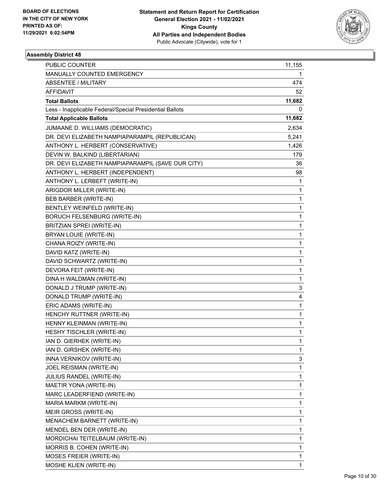

| PUBLIC COUNTER                                           | 11,155 |
|----------------------------------------------------------|--------|
| MANUALLY COUNTED EMERGENCY                               | 1      |
| ABSENTEE / MILITARY                                      | 474    |
| AFFIDAVIT                                                | 52     |
| <b>Total Ballots</b>                                     | 11,682 |
| Less - Inapplicable Federal/Special Presidential Ballots | 0      |
| <b>Total Applicable Ballots</b>                          | 11,682 |
| JUMAANE D. WILLIAMS (DEMOCRATIC)                         | 2,634  |
| DR. DEVI ELIZABETH NAMPIAPARAMPIL (REPUBLICAN)           | 5,241  |
| ANTHONY L. HERBERT (CONSERVATIVE)                        | 1,426  |
| DEVIN W. BALKIND (LIBERTARIAN)                           | 179    |
| DR. DEVI ELIZABETH NAMPIAPARAMPIL (SAVE OUR CITY)        | 36     |
| ANTHONY L. HERBERT (INDEPENDENT)                         | 98     |
| ANTHONY L. LERBEFT (WRITE-IN)                            | 1      |
| ARIGDOR MILLER (WRITE-IN)                                | 1      |
| BEB BARBER (WRITE-IN)                                    | 1      |
| BENTLEY WEINFELD (WRITE-IN)                              | 1      |
| <b>BORUCH FELSENBURG (WRITE-IN)</b>                      | 1      |
| BRITZIAN SPREI (WRITE-IN)                                | 1      |
| BRYAN LOUIE (WRITE-IN)                                   | 1      |
| CHANA ROIZY (WRITE-IN)                                   | 1      |
| DAVID KATZ (WRITE-IN)                                    | 1      |
| DAVID SCHWARTZ (WRITE-IN)                                | 1      |
| DEVORA FEIT (WRITE-IN)                                   | 1      |
| DINA H WALDMAN (WRITE-IN)                                | 1      |
| DONALD J TRUMP (WRITE-IN)                                | 3      |
| DONALD TRUMP (WRITE-IN)                                  | 4      |
| ERIC ADAMS (WRITE-IN)                                    | 1      |
| HENCHY RUTTNER (WRITE-IN)                                | 1      |
| HENNY KLEINMAN (WRITE-IN)                                | 1      |
| HESHY TISCHLER (WRITE-IN)                                | 1      |
| IAN D. GIERHEK (WRITE-IN)                                | 1      |
| IAN D. GIRSHEK (WRITE-IN)                                | 1      |
| INNA VERNIKOV (WRITE-IN)                                 | 3      |
| JOEL REISMAN (WRITE-IN)                                  | 1      |
| JULIUS RANDEL (WRITE-IN)                                 | 1      |
| MAETIR YONA (WRITE-IN)                                   | 1      |
| MARC LEADERFIEND (WRITE-IN)                              | 1      |
| MARIA MARKM (WRITE-IN)                                   | 1      |
| MEIR GROSS (WRITE-IN)                                    | 1      |
| MENACHEM BARNETT (WRITE-IN)                              | 1      |
| MENDEL BEN DER (WRITE-IN)                                | 1      |
| MORDICHAI TEITELBAUM (WRITE-IN)                          | 1      |
| MORRIS B. COHEN (WRITE-IN)                               | 1      |
| MOSES FREIER (WRITE-IN)                                  | 1      |
| MOSHE KLIEN (WRITE-IN)                                   | 1      |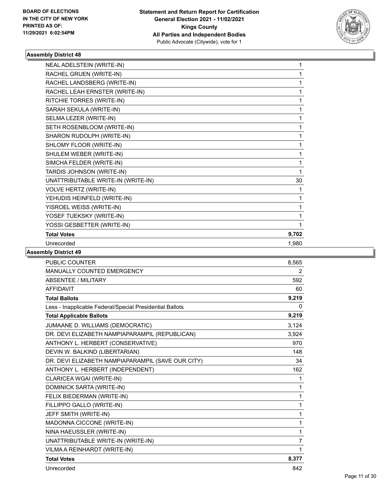

| NEAL ADELSTEIN (WRITE-IN)          | 1     |
|------------------------------------|-------|
| RACHEL GRUEN (WRITE-IN)            | 1     |
| RACHEL LANDSBERG (WRITE-IN)        | 1     |
| RACHEL LEAH ERNSTER (WRITE-IN)     | 1     |
| RITCHIE TORRES (WRITE-IN)          | 1     |
| SARAH SEKULA (WRITE-IN)            | 1     |
| SELMA LEZER (WRITE-IN)             | 1     |
| SETH ROSENBLOOM (WRITE-IN)         | 1     |
| SHARON RUDOLPH (WRITE-IN)          |       |
| SHLOMY FLOOR (WRITE-IN)            | 1     |
| SHULEM WEBER (WRITE-IN)            | 1     |
| SIMCHA FELDER (WRITE-IN)           |       |
| TARDIS JOHNSON (WRITE-IN)          | 1     |
| UNATTRIBUTABLE WRITE-IN (WRITE-IN) | 30    |
| <b>VOLVE HERTZ (WRITE-IN)</b>      |       |
| YEHUDIS HEINFELD (WRITE-IN)        |       |
| YISROEL WEISS (WRITE-IN)           | 1     |
| YOSEF TUEKSKY (WRITE-IN)           |       |
| YOSSI GESBETTER (WRITE-IN)         | 1     |
| <b>Total Votes</b>                 | 9,702 |
| Unrecorded                         | 1,980 |

| <b>PUBLIC COUNTER</b>                                    | 8,565          |
|----------------------------------------------------------|----------------|
| <b>MANUALLY COUNTED EMERGENCY</b>                        | 2              |
| <b>ABSENTEE / MILITARY</b>                               | 592            |
| <b>AFFIDAVIT</b>                                         | 60             |
| <b>Total Ballots</b>                                     | 9,219          |
| Less - Inapplicable Federal/Special Presidential Ballots | 0              |
| <b>Total Applicable Ballots</b>                          | 9,219          |
| JUMAANE D. WILLIAMS (DEMOCRATIC)                         | 3,124          |
| DR. DEVI ELIZABETH NAMPIAPARAMPIL (REPUBLICAN)           | 3,924          |
| ANTHONY L. HERBERT (CONSERVATIVE)                        | 970            |
| DEVIN W. BALKIND (LIBERTARIAN)                           | 148            |
| DR. DEVI ELIZABETH NAMPIAPARAMPIL (SAVE OUR CITY)        | 34             |
| ANTHONY L. HERBERT (INDEPENDENT)                         | 162            |
| CLARICEA WGAI (WRITE-IN)                                 | 1              |
| DOMINICK SARTA (WRITE-IN)                                | 1              |
| FELIX BIEDERMAN (WRITE-IN)                               | 1              |
| FILLIPPO GALLO (WRITE-IN)                                | 1              |
| JEFF SMITH (WRITE-IN)                                    | 1              |
| MADONNA CICCONE (WRITE-IN)                               | 1              |
| NINA HAEUSSLER (WRITE-IN)                                | 1              |
| UNATTRIBUTABLE WRITE-IN (WRITE-IN)                       | $\overline{7}$ |
| VILMA A REINHARDT (WRITE-IN)                             | 1              |
| <b>Total Votes</b>                                       | 8,377          |
| Unrecorded                                               | 842            |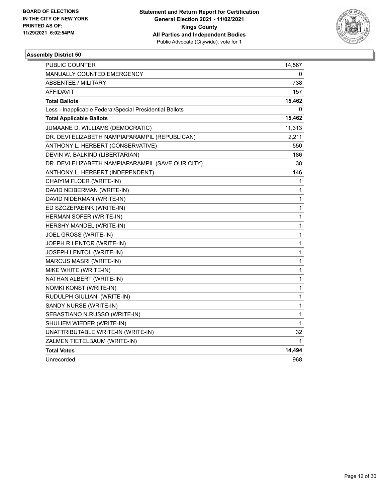

| <b>PUBLIC COUNTER</b>                                    | 14,567       |
|----------------------------------------------------------|--------------|
| <b>MANUALLY COUNTED EMERGENCY</b>                        | 0            |
| <b>ABSENTEE / MILITARY</b>                               | 738          |
| <b>AFFIDAVIT</b>                                         | 157          |
| <b>Total Ballots</b>                                     | 15,462       |
| Less - Inapplicable Federal/Special Presidential Ballots | 0            |
| <b>Total Applicable Ballots</b>                          | 15,462       |
| JUMAANE D. WILLIAMS (DEMOCRATIC)                         | 11,313       |
| DR. DEVI ELIZABETH NAMPIAPARAMPIL (REPUBLICAN)           | 2,211        |
| ANTHONY L. HERBERT (CONSERVATIVE)                        | 550          |
| DEVIN W. BALKIND (LIBERTARIAN)                           | 186          |
| DR. DEVI ELIZABETH NAMPIAPARAMPIL (SAVE OUR CITY)        | 38           |
| ANTHONY L. HERBERT (INDEPENDENT)                         | 146          |
| CHAIYIM FLOER (WRITE-IN)                                 | 1            |
| DAVID NEIBERMAN (WRITE-IN)                               | 1            |
| DAVID NIDERMAN (WRITE-IN)                                | $\mathbf{1}$ |
| ED SZCZEPAEINK (WRITE-IN)                                | $\mathbf{1}$ |
| HERMAN SOFER (WRITE-IN)                                  | 1            |
| HERSHY MANDEL (WRITE-IN)                                 | 1            |
| JOEL GROSS (WRITE-IN)                                    | 1            |
| JOEPH R LENTOR (WRITE-IN)                                | $\mathbf{1}$ |
| JOSEPH LENTOL (WRITE-IN)                                 | 1            |
| MARCUS MASRI (WRITE-IN)                                  | 1            |
| MIKE WHITE (WRITE-IN)                                    | $\mathbf{1}$ |
| NATHAN ALBERT (WRITE-IN)                                 | 1            |
| NOMKI KONST (WRITE-IN)                                   | $\mathbf{1}$ |
| RUDULPH GIULIANI (WRITE-IN)                              | 1            |
| SANDY NURSE (WRITE-IN)                                   | 1            |
| SEBASTIANO N.RUSSO (WRITE-IN)                            | 1            |
| SHULIEM WIEDER (WRITE-IN)                                | $\mathbf 1$  |
| UNATTRIBUTABLE WRITE-IN (WRITE-IN)                       | 32           |
| ZALMEN TIETELBAUM (WRITE-IN)                             | 1            |
| <b>Total Votes</b>                                       | 14,494       |
| Unrecorded                                               | 968          |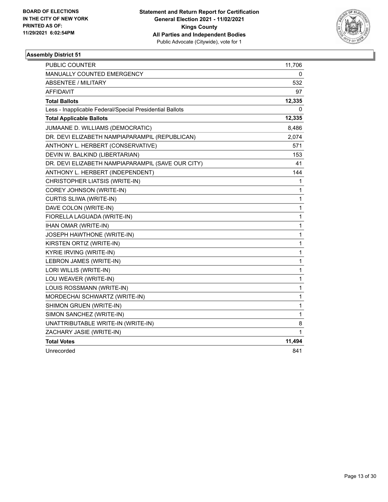

| PUBLIC COUNTER                                           | 11,706       |
|----------------------------------------------------------|--------------|
| MANUALLY COUNTED EMERGENCY                               | 0            |
| ABSENTEE / MILITARY                                      | 532          |
| AFFIDAVIT                                                | 97           |
| <b>Total Ballots</b>                                     | 12,335       |
| Less - Inapplicable Federal/Special Presidential Ballots | 0            |
| <b>Total Applicable Ballots</b>                          | 12,335       |
| JUMAANE D. WILLIAMS (DEMOCRATIC)                         | 8,486        |
| DR. DEVI ELIZABETH NAMPIAPARAMPIL (REPUBLICAN)           | 2,074        |
| ANTHONY L. HERBERT (CONSERVATIVE)                        | 571          |
| DEVIN W. BALKIND (LIBERTARIAN)                           | 153          |
| DR. DEVI ELIZABETH NAMPIAPARAMPIL (SAVE OUR CITY)        | 41           |
| ANTHONY L. HERBERT (INDEPENDENT)                         | 144          |
| CHRISTOPHER LIATSIS (WRITE-IN)                           | 1            |
| COREY JOHNSON (WRITE-IN)                                 | 1            |
| CURTIS SLIWA (WRITE-IN)                                  | 1            |
| DAVE COLON (WRITE-IN)                                    | 1            |
| FIORELLA LAGUADA (WRITE-IN)                              | 1            |
| <b>IHAN OMAR (WRITE-IN)</b>                              | 1            |
| JOSEPH HAWTHONE (WRITE-IN)                               | 1            |
| KIRSTEN ORTIZ (WRITE-IN)                                 | 1            |
| KYRIE IRVING (WRITE-IN)                                  | 1            |
| LEBRON JAMES (WRITE-IN)                                  | 1            |
| LORI WILLIS (WRITE-IN)                                   | $\mathbf{1}$ |
| LOU WEAVER (WRITE-IN)                                    | 1            |
| LOUIS ROSSMANN (WRITE-IN)                                | 1            |
| MORDECHAI SCHWARTZ (WRITE-IN)                            | 1            |
| SHIMON GRUEN (WRITE-IN)                                  | 1            |
| SIMON SANCHEZ (WRITE-IN)                                 | 1            |
| UNATTRIBUTABLE WRITE-IN (WRITE-IN)                       | 8            |
| ZACHARY JASIE (WRITE-IN)                                 | 1            |
| <b>Total Votes</b>                                       | 11,494       |
| Unrecorded                                               | 841          |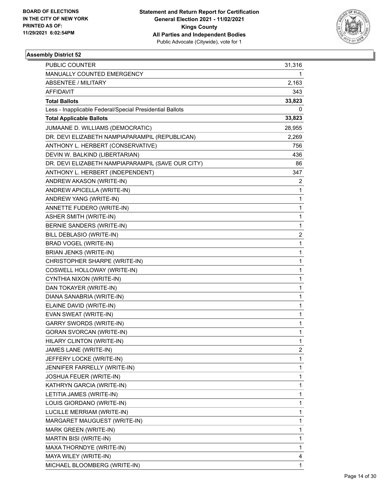

| PUBLIC COUNTER                                           | 31,316         |
|----------------------------------------------------------|----------------|
| MANUALLY COUNTED EMERGENCY                               | 1              |
| ABSENTEE / MILITARY                                      | 2,163          |
| AFFIDAVIT                                                | 343            |
| <b>Total Ballots</b>                                     | 33,823         |
| Less - Inapplicable Federal/Special Presidential Ballots | 0              |
| <b>Total Applicable Ballots</b>                          | 33,823         |
| JUMAANE D. WILLIAMS (DEMOCRATIC)                         | 28,955         |
| DR. DEVI ELIZABETH NAMPIAPARAMPIL (REPUBLICAN)           | 2,269          |
| ANTHONY L. HERBERT (CONSERVATIVE)                        | 756            |
| DEVIN W. BALKIND (LIBERTARIAN)                           | 436            |
| DR. DEVI ELIZABETH NAMPIAPARAMPIL (SAVE OUR CITY)        | 86             |
| ANTHONY L. HERBERT (INDEPENDENT)                         | 347            |
| ANDREW AKASON (WRITE-IN)                                 | 2              |
| ANDREW APICELLA (WRITE-IN)                               | $\mathbf{1}$   |
| ANDREW YANG (WRITE-IN)                                   | $\mathbf{1}$   |
| ANNETTE FUDERO (WRITE-IN)                                | 1              |
| <b>ASHER SMITH (WRITE-IN)</b>                            | $\mathbf 1$    |
| BERNIE SANDERS (WRITE-IN)                                | $\mathbf{1}$   |
| BILL DEBLASIO (WRITE-IN)                                 | 2              |
| BRAD VOGEL (WRITE-IN)                                    | $\mathbf{1}$   |
| <b>BRIAN JENKS (WRITE-IN)</b>                            | 1              |
| CHRISTOPHER SHARPE (WRITE-IN)                            | 1              |
| COSWELL HOLLOWAY (WRITE-IN)                              | $\mathbf{1}$   |
| CYNTHIA NIXON (WRITE-IN)                                 | $\mathbf{1}$   |
| DAN TOKAYER (WRITE-IN)                                   | 1              |
| DIANA SANABRIA (WRITE-IN)                                | $\mathbf{1}$   |
| ELAINE DAVID (WRITE-IN)                                  | 1              |
| EVAN SWEAT (WRITE-IN)                                    | 1              |
| <b>GARRY SWORDS (WRITE-IN)</b>                           | $\mathbf 1$    |
| <b>GORAN SVORCAN (WRITE-IN)</b>                          | $\mathbf{1}$   |
| HILARY CLINTON (WRITE-IN)                                | $\mathbf{1}$   |
| JAMES LANE (WRITE-IN)                                    | $\overline{c}$ |
| JEFFERY LOCKE (WRITE-IN)                                 | $\mathbf{1}$   |
| JENNIFER FARRELLY (WRITE-IN)                             | 1              |
| JOSHUA FEUER (WRITE-IN)                                  | $\mathbf{1}$   |
| KATHRYN GARCIA (WRITE-IN)                                | $\mathbf{1}$   |
| LETITIA JAMES (WRITE-IN)                                 | 1              |
| LOUIS GIORDANO (WRITE-IN)                                | $\mathbf{1}$   |
| LUCILLE MERRIAM (WRITE-IN)                               | $\mathbf{1}$   |
| MARGARET MAUGUEST (WRITE-IN)                             | 1              |
| MARK GREEN (WRITE-IN)                                    | $\mathbf{1}$   |
| MARTIN BISI (WRITE-IN)                                   | 1              |
| MAXA THORNDYE (WRITE-IN)                                 | 1              |
| MAYA WILEY (WRITE-IN)                                    | 4              |
| MICHAEL BLOOMBERG (WRITE-IN)                             | $\mathbf{1}$   |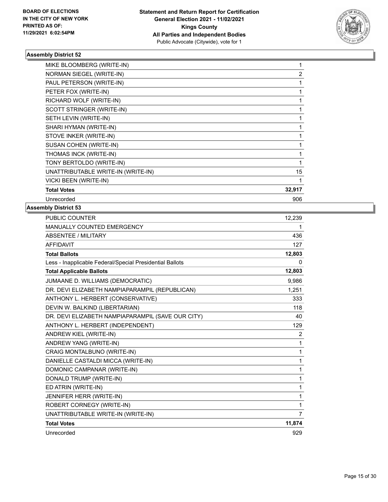

| MIKE BLOOMBERG (WRITE-IN)          |                |
|------------------------------------|----------------|
| NORMAN SIEGEL (WRITE-IN)           | $\overline{2}$ |
| PAUL PETERSON (WRITE-IN)           |                |
| PETER FOX (WRITE-IN)               |                |
| RICHARD WOLF (WRITE-IN)            |                |
| SCOTT STRINGER (WRITE-IN)          |                |
| SETH LEVIN (WRITE-IN)              |                |
| SHARI HYMAN (WRITE-IN)             |                |
| STOVE INKER (WRITE-IN)             |                |
| SUSAN COHEN (WRITE-IN)             |                |
| THOMAS INCK (WRITE-IN)             |                |
| TONY BERTOLDO (WRITE-IN)           |                |
| UNATTRIBUTABLE WRITE-IN (WRITE-IN) | 15             |
| <b>VICKI BEEN (WRITE-IN)</b>       |                |
| <b>Total Votes</b>                 | 32,917         |
| Unrecorded                         | 906            |

| <b>PUBLIC COUNTER</b>                                    | 12,239       |
|----------------------------------------------------------|--------------|
| <b>MANUALLY COUNTED EMERGENCY</b>                        | 1            |
| <b>ABSENTEE / MILITARY</b>                               | 436          |
| <b>AFFIDAVIT</b>                                         | 127          |
| <b>Total Ballots</b>                                     | 12,803       |
| Less - Inapplicable Federal/Special Presidential Ballots | 0            |
| <b>Total Applicable Ballots</b>                          | 12,803       |
| JUMAANE D. WILLIAMS (DEMOCRATIC)                         | 9,986        |
| DR. DEVI ELIZABETH NAMPIAPARAMPIL (REPUBLICAN)           | 1,251        |
| ANTHONY L. HERBERT (CONSERVATIVE)                        | 333          |
| DEVIN W. BALKIND (LIBERTARIAN)                           | 118          |
| DR. DEVI ELIZABETH NAMPIAPARAMPIL (SAVE OUR CITY)        | 40           |
| ANTHONY L. HERBERT (INDEPENDENT)                         | 129          |
| ANDREW KIEL (WRITE-IN)                                   | 2            |
| ANDREW YANG (WRITE-IN)                                   | $\mathbf{1}$ |
| CRAIG MONTALBUNO (WRITE-IN)                              | 1            |
| DANIELLE CASTALDI MICCA (WRITE-IN)                       | $\mathbf{1}$ |
| DOMONIC CAMPANAR (WRITE-IN)                              | 1            |
| DONALD TRUMP (WRITE-IN)                                  | 1            |
| ED ATRIN (WRITE-IN)                                      | $\mathbf{1}$ |
| JENNIFER HERR (WRITE-IN)                                 | 1            |
| ROBERT CORNEGY (WRITE-IN)                                | 1            |
| UNATTRIBUTABLE WRITE-IN (WRITE-IN)                       | 7            |
| <b>Total Votes</b>                                       | 11,874       |
| Unrecorded                                               | 929          |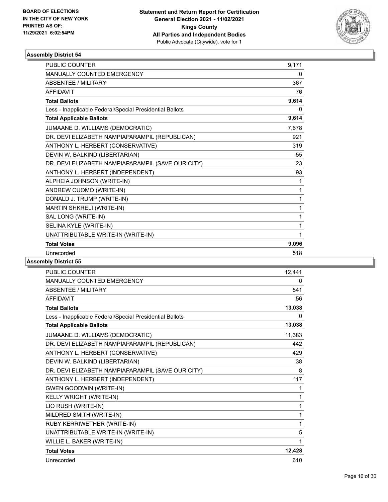

| <b>PUBLIC COUNTER</b>                                    | 9.171 |
|----------------------------------------------------------|-------|
| <b>MANUALLY COUNTED EMERGENCY</b>                        | 0     |
| <b>ABSENTEE / MILITARY</b>                               | 367   |
| <b>AFFIDAVIT</b>                                         | 76    |
| <b>Total Ballots</b>                                     | 9,614 |
| Less - Inapplicable Federal/Special Presidential Ballots | 0     |
| <b>Total Applicable Ballots</b>                          | 9,614 |
| JUMAANE D. WILLIAMS (DEMOCRATIC)                         | 7,678 |
| DR. DEVI ELIZABETH NAMPIAPARAMPIL (REPUBLICAN)           | 921   |
| ANTHONY L. HERBERT (CONSERVATIVE)                        | 319   |
| DEVIN W. BALKIND (LIBERTARIAN)                           | 55    |
| DR. DEVI ELIZABETH NAMPIAPARAMPIL (SAVE OUR CITY)        | 23    |
| ANTHONY L. HERBERT (INDEPENDENT)                         | 93    |
| ALPHEIA JOHNSON (WRITE-IN)                               | 1     |
| ANDREW CUOMO (WRITE-IN)                                  | 1     |
| DONALD J. TRUMP (WRITE-IN)                               | 1     |
| MARTIN SHKRELI (WRITE-IN)                                | 1     |
| SAL LONG (WRITE-IN)                                      | 1     |
| SELINA KYLE (WRITE-IN)                                   | 1     |
| UNATTRIBUTABLE WRITE-IN (WRITE-IN)                       | 1     |
| <b>Total Votes</b>                                       | 9,096 |
| Unrecorded                                               | 518   |
|                                                          |       |

| PUBLIC COUNTER                                           | 12,441       |
|----------------------------------------------------------|--------------|
| <b>MANUALLY COUNTED EMERGENCY</b>                        | $\mathbf{0}$ |
| <b>ABSENTEE / MILITARY</b>                               | 541          |
| <b>AFFIDAVIT</b>                                         | 56           |
| <b>Total Ballots</b>                                     | 13,038       |
| Less - Inapplicable Federal/Special Presidential Ballots | 0            |
| <b>Total Applicable Ballots</b>                          | 13,038       |
| JUMAANE D. WILLIAMS (DEMOCRATIC)                         | 11,383       |
| DR. DEVI ELIZABETH NAMPIAPARAMPIL (REPUBLICAN)           | 442          |
| ANTHONY L. HERBERT (CONSERVATIVE)                        | 429          |
| DEVIN W. BALKIND (LIBERTARIAN)                           | 38           |
| DR. DEVI ELIZABETH NAMPIAPARAMPIL (SAVE OUR CITY)        | 8            |
| ANTHONY L. HERBERT (INDEPENDENT)                         | 117          |
| <b>GWEN GOODWIN (WRITE-IN)</b>                           | 1            |
| KELLY WRIGHT (WRITE-IN)                                  | 1            |
| LIO RUSH (WRITE-IN)                                      | 1            |
| MILDRED SMITH (WRITE-IN)                                 | 1            |
| RUBY KERRIWETHER (WRITE-IN)                              | 1            |
| UNATTRIBUTABLE WRITE-IN (WRITE-IN)                       | 5            |
| WILLIE L. BAKER (WRITE-IN)                               | 1            |
| <b>Total Votes</b>                                       | 12,428       |
| Unrecorded                                               | 610          |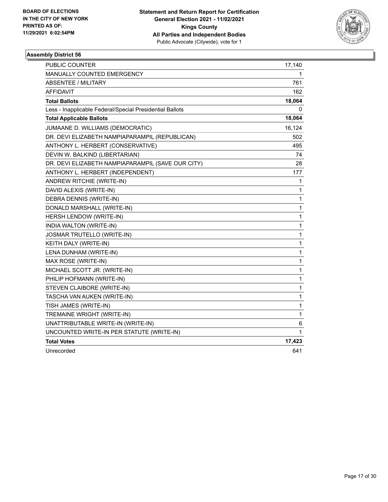

| <b>PUBLIC COUNTER</b>                                    | 17,140       |
|----------------------------------------------------------|--------------|
| MANUALLY COUNTED EMERGENCY                               | 1            |
| <b>ABSENTEE / MILITARY</b>                               | 761          |
| <b>AFFIDAVIT</b>                                         | 162          |
| <b>Total Ballots</b>                                     | 18,064       |
| Less - Inapplicable Federal/Special Presidential Ballots | 0            |
| <b>Total Applicable Ballots</b>                          | 18,064       |
| JUMAANE D. WILLIAMS (DEMOCRATIC)                         | 16,124       |
| DR. DEVI ELIZABETH NAMPIAPARAMPIL (REPUBLICAN)           | 502          |
| ANTHONY L. HERBERT (CONSERVATIVE)                        | 495          |
| DEVIN W. BALKIND (LIBERTARIAN)                           | 74           |
| DR. DEVI ELIZABETH NAMPIAPARAMPIL (SAVE OUR CITY)        | 28           |
| ANTHONY L. HERBERT (INDEPENDENT)                         | 177          |
| ANDREW RITCHIE (WRITE-IN)                                | 1            |
| DAVID ALEXIS (WRITE-IN)                                  | 1            |
| DEBRA DENNIS (WRITE-IN)                                  | 1            |
| DONALD MARSHALL (WRITE-IN)                               | 1            |
| HERSH LENDOW (WRITE-IN)                                  | 1            |
| <b>INDIA WALTON (WRITE-IN)</b>                           | 1            |
| <b>JOSMAR TRUTELLO (WRITE-IN)</b>                        | 1            |
| KEITH DALY (WRITE-IN)                                    | 1            |
| LENA DUNHAM (WRITE-IN)                                   | 1            |
| MAX ROSE (WRITE-IN)                                      | 1            |
| MICHAEL SCOTT JR. (WRITE-IN)                             | $\mathbf{1}$ |
| PHILIP HOFMANN (WRITE-IN)                                | 1            |
| STEVEN CLAIBORE (WRITE-IN)                               | 1            |
| TASCHA VAN AUKEN (WRITE-IN)                              | 1            |
| TISH JAMES (WRITE-IN)                                    | $\mathbf{1}$ |
| TREMAINE WRIGHT (WRITE-IN)                               | 1            |
| UNATTRIBUTABLE WRITE-IN (WRITE-IN)                       | 6            |
| UNCOUNTED WRITE-IN PER STATUTE (WRITE-IN)                | 1            |
| <b>Total Votes</b>                                       | 17,423       |
| Unrecorded                                               | 641          |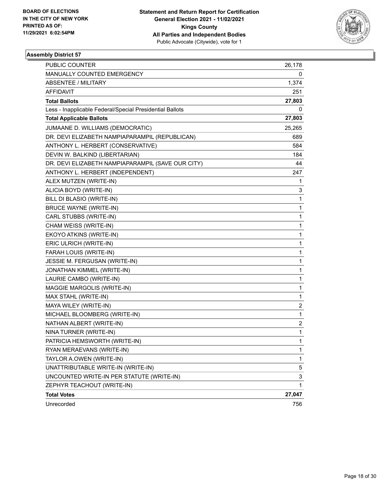

| <b>PUBLIC COUNTER</b>                                    | 26,178       |
|----------------------------------------------------------|--------------|
| MANUALLY COUNTED EMERGENCY                               | 0            |
| <b>ABSENTEE / MILITARY</b>                               | 1,374        |
| AFFIDAVIT                                                | 251          |
| <b>Total Ballots</b>                                     | 27,803       |
| Less - Inapplicable Federal/Special Presidential Ballots | 0            |
| <b>Total Applicable Ballots</b>                          | 27,803       |
| JUMAANE D. WILLIAMS (DEMOCRATIC)                         | 25,265       |
| DR. DEVI ELIZABETH NAMPIAPARAMPIL (REPUBLICAN)           | 689          |
| ANTHONY L. HERBERT (CONSERVATIVE)                        | 584          |
| DEVIN W. BALKIND (LIBERTARIAN)                           | 184          |
| DR. DEVI ELIZABETH NAMPIAPARAMPIL (SAVE OUR CITY)        | 44           |
| ANTHONY L. HERBERT (INDEPENDENT)                         | 247          |
| ALEX MUTZEN (WRITE-IN)                                   | 1            |
| ALICIA BOYD (WRITE-IN)                                   | 3            |
| BILL DI BLASIO (WRITE-IN)                                | 1            |
| <b>BRUCE WAYNE (WRITE-IN)</b>                            | 1            |
| CARL STUBBS (WRITE-IN)                                   | 1            |
| CHAM WEISS (WRITE-IN)                                    | 1            |
| EKOYO ATKINS (WRITE-IN)                                  | 1            |
| ERIC ULRICH (WRITE-IN)                                   | 1            |
| FARAH LOUIS (WRITE-IN)                                   | 1            |
| JESSIE M. FERGUSAN (WRITE-IN)                            | 1            |
| JONATHAN KIMMEL (WRITE-IN)                               | 1            |
| LAURIE CAMBO (WRITE-IN)                                  | 1            |
| MAGGIE MARGOLIS (WRITE-IN)                               | 1            |
| MAX STAHL (WRITE-IN)                                     | 1            |
| MAYA WILEY (WRITE-IN)                                    | 2            |
| MICHAEL BLOOMBERG (WRITE-IN)                             | $\mathbf{1}$ |
| NATHAN ALBERT (WRITE-IN)                                 | 2            |
| NINA TURNER (WRITE-IN)                                   | 1            |
| PATRICIA HEMSWORTH (WRITE-IN)                            | 1            |
| RYAN MERAEVANS (WRITE-IN)                                | 1            |
| TAYLOR A.OWEN (WRITE-IN)                                 | 1            |
| UNATTRIBUTABLE WRITE-IN (WRITE-IN)                       | 5            |
| UNCOUNTED WRITE-IN PER STATUTE (WRITE-IN)                | 3            |
| ZEPHYR TEACHOUT (WRITE-IN)                               | 1            |
| <b>Total Votes</b>                                       | 27,047       |
| Unrecorded                                               | 756          |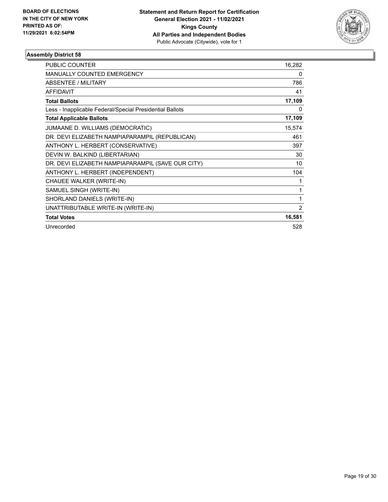

| <b>PUBLIC COUNTER</b>                                    | 16,282         |
|----------------------------------------------------------|----------------|
| <b>MANUALLY COUNTED EMERGENCY</b>                        | 0              |
| <b>ABSENTEE / MILITARY</b>                               | 786            |
| <b>AFFIDAVIT</b>                                         | 41             |
| <b>Total Ballots</b>                                     | 17,109         |
| Less - Inapplicable Federal/Special Presidential Ballots | 0              |
| <b>Total Applicable Ballots</b>                          | 17,109         |
| JUMAANE D. WILLIAMS (DEMOCRATIC)                         | 15,574         |
| DR. DEVI ELIZABETH NAMPIAPARAMPIL (REPUBLICAN)           | 461            |
| ANTHONY L. HERBERT (CONSERVATIVE)                        | 397            |
| DEVIN W. BALKIND (LIBERTARIAN)                           | 30             |
| DR. DEVI ELIZABETH NAMPIAPARAMPIL (SAVE OUR CITY)        | 10             |
| ANTHONY L. HERBERT (INDEPENDENT)                         | 104            |
| CHAUEE WALKER (WRITE-IN)                                 | 1              |
| SAMUEL SINGH (WRITE-IN)                                  | 1              |
| SHORLAND DANIELS (WRITE-IN)                              | 1              |
| UNATTRIBUTABLE WRITE-IN (WRITE-IN)                       | $\overline{2}$ |
| <b>Total Votes</b>                                       | 16,581         |
| Unrecorded                                               | 528            |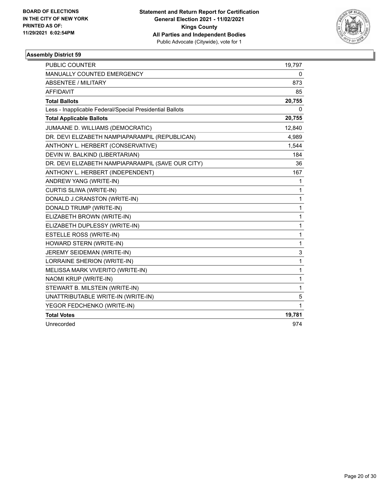

| <b>PUBLIC COUNTER</b>                                    | 19,797 |
|----------------------------------------------------------|--------|
| <b>MANUALLY COUNTED EMERGENCY</b>                        | 0      |
| <b>ABSENTEE / MILITARY</b>                               | 873    |
| <b>AFFIDAVIT</b>                                         | 85     |
| <b>Total Ballots</b>                                     | 20,755 |
| Less - Inapplicable Federal/Special Presidential Ballots | 0      |
| <b>Total Applicable Ballots</b>                          | 20,755 |
| JUMAANE D. WILLIAMS (DEMOCRATIC)                         | 12,840 |
| DR. DEVI ELIZABETH NAMPIAPARAMPIL (REPUBLICAN)           | 4,989  |
| ANTHONY L. HERBERT (CONSERVATIVE)                        | 1,544  |
| DEVIN W. BALKIND (LIBERTARIAN)                           | 184    |
| DR. DEVI ELIZABETH NAMPIAPARAMPIL (SAVE OUR CITY)        | 36     |
| ANTHONY L. HERBERT (INDEPENDENT)                         | 167    |
| ANDREW YANG (WRITE-IN)                                   | 1      |
| CURTIS SLIWA (WRITE-IN)                                  | 1      |
| DONALD J.CRANSTON (WRITE-IN)                             | 1      |
| DONALD TRUMP (WRITE-IN)                                  | 1      |
| ELIZABETH BROWN (WRITE-IN)                               | 1      |
| ELIZABETH DUPLESSY (WRITE-IN)                            | 1      |
| ESTELLE ROSS (WRITE-IN)                                  | 1      |
| HOWARD STERN (WRITE-IN)                                  | 1      |
| JEREMY SEIDEMAN (WRITE-IN)                               | 3      |
| LORRAINE SHERION (WRITE-IN)                              | 1      |
| MELISSA MARK VIVERITO (WRITE-IN)                         | 1      |
| NAOMI KRUP (WRITE-IN)                                    | 1      |
| STEWART B. MILSTEIN (WRITE-IN)                           | 1      |
| UNATTRIBUTABLE WRITE-IN (WRITE-IN)                       | 5      |
| YEGOR FEDCHENKO (WRITE-IN)                               | 1      |
| <b>Total Votes</b>                                       | 19,781 |
| Unrecorded                                               | 974    |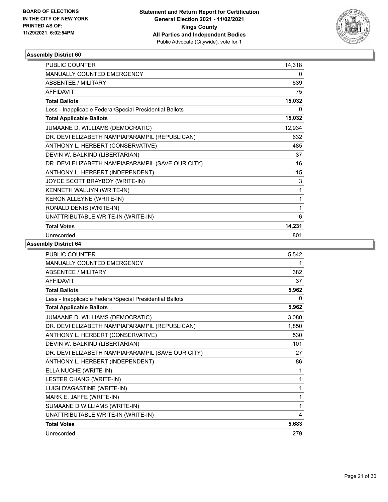

| <b>PUBLIC COUNTER</b>                                    | 14,318 |
|----------------------------------------------------------|--------|
| <b>MANUALLY COUNTED EMERGENCY</b>                        | 0      |
| ABSENTEE / MILITARY                                      | 639    |
| <b>AFFIDAVIT</b>                                         | 75     |
| <b>Total Ballots</b>                                     | 15,032 |
| Less - Inapplicable Federal/Special Presidential Ballots | 0      |
| <b>Total Applicable Ballots</b>                          | 15,032 |
| JUMAANE D. WILLIAMS (DEMOCRATIC)                         | 12,934 |
| DR. DEVI ELIZABETH NAMPIAPARAMPIL (REPUBLICAN)           | 632    |
| ANTHONY L. HERBERT (CONSERVATIVE)                        | 485    |
| DEVIN W. BALKIND (LIBERTARIAN)                           | 37     |
| DR. DEVI ELIZABETH NAMPIAPARAMPIL (SAVE OUR CITY)        | 16     |
| ANTHONY L. HERBERT (INDEPENDENT)                         | 115    |
| JOYCE SCOTT BRAYBOY (WRITE-IN)                           | 3      |
| KENNETH WALUYN (WRITE-IN)                                | 1      |
| KERON ALLEYNE (WRITE-IN)                                 | 1      |
| RONALD DENIS (WRITE-IN)                                  | 1      |
| UNATTRIBUTABLE WRITE-IN (WRITE-IN)                       | 6      |
| <b>Total Votes</b>                                       | 14,231 |
| Unrecorded                                               | 801    |

| <b>PUBLIC COUNTER</b>                                    | 5,542 |
|----------------------------------------------------------|-------|
| MANUALLY COUNTED EMERGENCY                               | 1     |
| <b>ABSENTEE / MILITARY</b>                               | 382   |
| <b>AFFIDAVIT</b>                                         | 37    |
| <b>Total Ballots</b>                                     | 5,962 |
| Less - Inapplicable Federal/Special Presidential Ballots | 0     |
| <b>Total Applicable Ballots</b>                          | 5,962 |
| JUMAANE D. WILLIAMS (DEMOCRATIC)                         | 3,080 |
| DR. DEVI ELIZABETH NAMPIAPARAMPIL (REPUBLICAN)           | 1,850 |
| ANTHONY L. HERBERT (CONSERVATIVE)                        | 530   |
| DEVIN W. BALKIND (LIBERTARIAN)                           | 101   |
| DR. DEVI ELIZABETH NAMPIAPARAMPIL (SAVE OUR CITY)        | 27    |
| ANTHONY L. HERBERT (INDEPENDENT)                         | 86    |
| ELLA NUCHE (WRITE-IN)                                    | 1     |
| LESTER CHANG (WRITE-IN)                                  | 1     |
| LUIGI D'AGASTINE (WRITE-IN)                              | 1     |
| MARK E. JAFFE (WRITE-IN)                                 | 1     |
| SUMAANE D WILLIAMS (WRITE-IN)                            | 1     |
| UNATTRIBUTABLE WRITE-IN (WRITE-IN)                       | 4     |
| <b>Total Votes</b>                                       | 5,683 |
| Unrecorded                                               | 279   |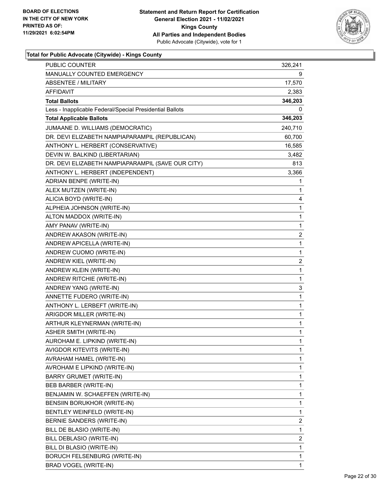

| <b>PUBLIC COUNTER</b>                                    | 326,241      |
|----------------------------------------------------------|--------------|
| MANUALLY COUNTED EMERGENCY                               | 9            |
| <b>ABSENTEE / MILITARY</b>                               | 17,570       |
| AFFIDAVIT                                                | 2,383        |
| <b>Total Ballots</b>                                     | 346,203      |
| Less - Inapplicable Federal/Special Presidential Ballots | 0            |
| <b>Total Applicable Ballots</b>                          | 346,203      |
| JUMAANE D. WILLIAMS (DEMOCRATIC)                         | 240,710      |
| DR. DEVI ELIZABETH NAMPIAPARAMPIL (REPUBLICAN)           | 60,700       |
| ANTHONY L. HERBERT (CONSERVATIVE)                        | 16,585       |
| DEVIN W. BALKIND (LIBERTARIAN)                           | 3,482        |
| DR. DEVI ELIZABETH NAMPIAPARAMPIL (SAVE OUR CITY)        | 813          |
| ANTHONY L. HERBERT (INDEPENDENT)                         | 3,366        |
| ADRIAN BENPE (WRITE-IN)                                  | 1            |
| ALEX MUTZEN (WRITE-IN)                                   | 1            |
| ALICIA BOYD (WRITE-IN)                                   | 4            |
| ALPHEIA JOHNSON (WRITE-IN)                               | 1            |
| ALTON MADDOX (WRITE-IN)                                  | 1            |
| AMY PANAV (WRITE-IN)                                     | 1            |
| ANDREW AKASON (WRITE-IN)                                 | 2            |
| ANDREW APICELLA (WRITE-IN)                               | 1            |
| ANDREW CUOMO (WRITE-IN)                                  | 1            |
| ANDREW KIEL (WRITE-IN)                                   | 2            |
| ANDREW KLEIN (WRITE-IN)                                  | 1            |
| ANDREW RITCHIE (WRITE-IN)                                | 1            |
| ANDREW YANG (WRITE-IN)                                   | 3            |
| ANNETTE FUDERO (WRITE-IN)                                | 1            |
| ANTHONY L. LERBEFT (WRITE-IN)                            | 1            |
| ARIGDOR MILLER (WRITE-IN)                                | 1            |
| ARTHUR KLEYNERMAN (WRITE-IN)                             | 1            |
| ASHER SMITH (WRITE-IN)                                   | 1            |
| AUROHAM E. LIPKIND (WRITE-IN)                            | $\mathbf{1}$ |
| AVIGDOR KITEVITS (WRITE-IN)                              | 1            |
| AVRAHAM HAMEL (WRITE-IN)                                 | 1            |
| AVROHAM E LIPKIND (WRITE-IN)                             | 1            |
| BARRY GRUMET (WRITE-IN)                                  | 1            |
| BEB BARBER (WRITE-IN)                                    | 1            |
| BENJAMIN W. SCHAEFFEN (WRITE-IN)                         | 1            |
| BENSIIN BORUKHOR (WRITE-IN)                              | 1            |
| BENTLEY WEINFELD (WRITE-IN)                              | 1            |
| BERNIE SANDERS (WRITE-IN)                                | 2            |
| BILL DE BLASIO (WRITE-IN)                                | 1            |
| BILL DEBLASIO (WRITE-IN)                                 | 2            |
| BILL DI BLASIO (WRITE-IN)                                | 1            |
| <b>BORUCH FELSENBURG (WRITE-IN)</b>                      | 1            |
| BRAD VOGEL (WRITE-IN)                                    | 1            |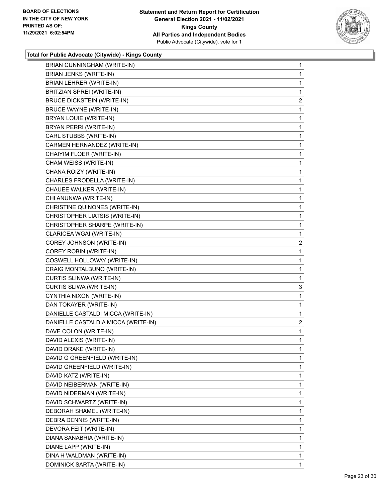

| BRIAN CUNNINGHAM (WRITE-IN)         | $\mathbf{1}$   |
|-------------------------------------|----------------|
| <b>BRIAN JENKS (WRITE-IN)</b>       | 1              |
| BRIAN LEHRER (WRITE-IN)             | 1              |
| BRITZIAN SPREI (WRITE-IN)           | 1              |
| <b>BRUCE DICKSTEIN (WRITE-IN)</b>   | $\overline{2}$ |
| <b>BRUCE WAYNE (WRITE-IN)</b>       | 1              |
| <b>BRYAN LOUIE (WRITE-IN)</b>       | 1              |
| BRYAN PERRI (WRITE-IN)              | 1              |
| CARL STUBBS (WRITE-IN)              | 1              |
| CARMEN HERNANDEZ (WRITE-IN)         | 1              |
| CHAIYIM FLOER (WRITE-IN)            | 1              |
| CHAM WEISS (WRITE-IN)               | 1              |
| CHANA ROIZY (WRITE-IN)              | 1              |
| CHARLES FRODELLA (WRITE-IN)         | 1              |
| CHAUEE WALKER (WRITE-IN)            | 1              |
| CHI ANUNWA (WRITE-IN)               | 1              |
| CHRISTINE QUINONES (WRITE-IN)       | 1              |
| CHRISTOPHER LIATSIS (WRITE-IN)      | 1              |
| CHRISTOPHER SHARPE (WRITE-IN)       | 1              |
| CLARICEA WGAI (WRITE-IN)            | 1              |
| COREY JOHNSON (WRITE-IN)            | 2              |
| COREY ROBIN (WRITE-IN)              | 1              |
| COSWELL HOLLOWAY (WRITE-IN)         | 1              |
| CRAIG MONTALBUNO (WRITE-IN)         | 1              |
| CURTIS SLINWA (WRITE-IN)            | 1              |
| CURTIS SLIWA (WRITE-IN)             | 3              |
| CYNTHIA NIXON (WRITE-IN)            | 1              |
| DAN TOKAYER (WRITE-IN)              | 1              |
| DANIELLE CASTALDI MICCA (WRITE-IN)  | 1              |
| DANIELLE CASTALDIA MICCA (WRITE-IN) | $\overline{2}$ |
| DAVE COLON (WRITE-IN)               | 1              |
| DAVID ALEXIS (WRITE-IN)             | 1              |
| DAVID DRAKE (WRITE-IN)              | 1              |
| DAVID G GREENFIELD (WRITE-IN)       | 1              |
| DAVID GREENFIELD (WRITE-IN)         | 1              |
| DAVID KATZ (WRITE-IN)               | 1              |
| DAVID NEIBERMAN (WRITE-IN)          | 1              |
| DAVID NIDERMAN (WRITE-IN)           | 1              |
| DAVID SCHWARTZ (WRITE-IN)           | 1              |
| DEBORAH SHAMEL (WRITE-IN)           | 1              |
| DEBRA DENNIS (WRITE-IN)             | 1              |
| DEVORA FEIT (WRITE-IN)              | 1              |
| DIANA SANABRIA (WRITE-IN)           | 1              |
| DIANE LAPP (WRITE-IN)               | 1              |
| DINA H WALDMAN (WRITE-IN)           | 1              |
|                                     |                |
| DOMINICK SARTA (WRITE-IN)           | 1.             |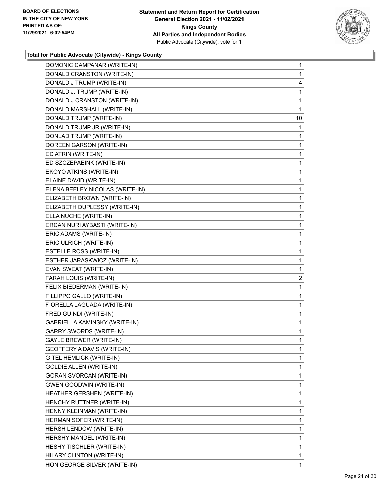

| DOMONIC CAMPANAR (WRITE-IN)     | $\mathbf{1}$   |
|---------------------------------|----------------|
| DONALD CRANSTON (WRITE-IN)      | $\mathbf{1}$   |
| DONALD J TRUMP (WRITE-IN)       | 4              |
| DONALD J. TRUMP (WRITE-IN)      | 1              |
| DONALD J.CRANSTON (WRITE-IN)    | $\mathbf{1}$   |
| DONALD MARSHALL (WRITE-IN)      | 1              |
| DONALD TRUMP (WRITE-IN)         | 10             |
| DONALD TRUMP JR (WRITE-IN)      | $\mathbf{1}$   |
| DONLAD TRUMP (WRITE-IN)         | $\mathbf{1}$   |
| DOREEN GARSON (WRITE-IN)        | 1              |
| ED ATRIN (WRITE-IN)             | 1              |
| ED SZCZEPAEINK (WRITE-IN)       | $\mathbf{1}$   |
| EKOYO ATKINS (WRITE-IN)         | 1              |
| ELAINE DAVID (WRITE-IN)         | $\mathbf{1}$   |
| ELENA BEELEY NICOLAS (WRITE-IN) | 1              |
| ELIZABETH BROWN (WRITE-IN)      | 1              |
| ELIZABETH DUPLESSY (WRITE-IN)   | 1              |
| ELLA NUCHE (WRITE-IN)           | $\mathbf{1}$   |
| ERCAN NURI AYBASTI (WRITE-IN)   | 1              |
| ERIC ADAMS (WRITE-IN)           | $\mathbf{1}$   |
| ERIC ULRICH (WRITE-IN)          | $\mathbf{1}$   |
| ESTELLE ROSS (WRITE-IN)         | 1              |
| ESTHER JARASKWICZ (WRITE-IN)    | 1              |
| EVAN SWEAT (WRITE-IN)           | $\mathbf{1}$   |
| FARAH LOUIS (WRITE-IN)          | $\overline{2}$ |
| FELIX BIEDERMAN (WRITE-IN)      | $\mathbf{1}$   |
| FILLIPPO GALLO (WRITE-IN)       | 1              |
| FIORELLA LAGUADA (WRITE-IN)     | 1              |
| FRED GUINDI (WRITE-IN)          | 1              |
| GABRIELLA KAMINSKY (WRITE-IN)   | $\mathbf{1}$   |
| <b>GARRY SWORDS (WRITE-IN)</b>  | 1              |
| <b>GAYLE BREWER (WRITE-IN)</b>  | $\mathbf{1}$   |
| GEOFFERY A DAVIS (WRITE-IN)     | 1              |
| GITEL HEMLICK (WRITE-IN)        | 1              |
| <b>GOLDIE ALLEN (WRITE-IN)</b>  | $\mathbf{1}$   |
| GORAN SVORCAN (WRITE-IN)        | 1              |
| <b>GWEN GOODWIN (WRITE-IN)</b>  | 1              |
| HEATHER GERSHEN (WRITE-IN)      | $\mathbf{1}$   |
| HENCHY RUTTNER (WRITE-IN)       | 1              |
| HENNY KLEINMAN (WRITE-IN)       | 1              |
| HERMAN SOFER (WRITE-IN)         | $\mathbf{1}$   |
| HERSH LENDOW (WRITE-IN)         | 1              |
| HERSHY MANDEL (WRITE-IN)        | 1              |
| HESHY TISCHLER (WRITE-IN)       | $\mathbf{1}$   |
| HILARY CLINTON (WRITE-IN)       | $\mathbf{1}$   |
| HON GEORGE SILVER (WRITE-IN)    | 1              |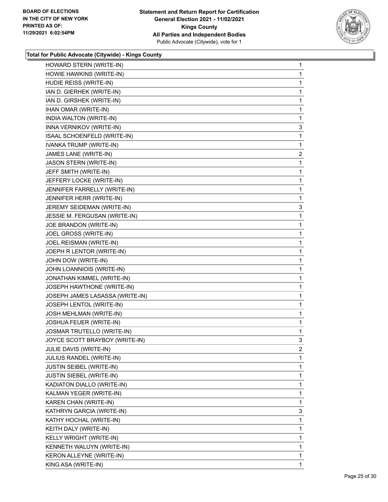

| HOWARD STERN (WRITE-IN)         | 1                       |
|---------------------------------|-------------------------|
| HOWIE HAWKINS (WRITE-IN)        | 1                       |
| HUDIE REISS (WRITE-IN)          | 1                       |
| IAN D. GIERHEK (WRITE-IN)       | 1                       |
| IAN D. GIRSHEK (WRITE-IN)       | 1                       |
| IHAN OMAR (WRITE-IN)            | 1                       |
| INDIA WALTON (WRITE-IN)         | 1                       |
| INNA VERNIKOV (WRITE-IN)        | 3                       |
| ISAAL SCHOENFELD (WRITE-IN)     | 1                       |
| IVANKA TRUMP (WRITE-IN)         | 1                       |
| JAMES LANE (WRITE-IN)           | $\overline{\mathbf{c}}$ |
| JASON STERN (WRITE-IN)          | 1                       |
| JEFF SMITH (WRITE-IN)           | 1                       |
| JEFFERY LOCKE (WRITE-IN)        | 1                       |
| JENNIFER FARRELLY (WRITE-IN)    | 1                       |
| JENNIFER HERR (WRITE-IN)        | 1                       |
| JEREMY SEIDEMAN (WRITE-IN)      | 3                       |
| JESSIE M. FERGUSAN (WRITE-IN)   | 1                       |
| JOE BRANDON (WRITE-IN)          | 1                       |
| JOEL GROSS (WRITE-IN)           | 1                       |
| JOEL REISMAN (WRITE-IN)         | 1                       |
| JOEPH R LENTOR (WRITE-IN)       | 1                       |
| JOHN DOW (WRITE-IN)             | 1                       |
| JOHN LOANNIOIS (WRITE-IN)       | 1                       |
| JONATHAN KIMMEL (WRITE-IN)      | 1                       |
| JOSEPH HAWTHONE (WRITE-IN)      | 1                       |
| JOSEPH JAMES LASASSA (WRITE-IN) | 1                       |
| JOSEPH LENTOL (WRITE-IN)        | 1                       |
| JOSH MEHLMAN (WRITE-IN)         | 1                       |
| JOSHUA FEUER (WRITE-IN)         | 1                       |
| JOSMAR TRUTELLO (WRITE-IN)      | 1                       |
| JOYCE SCOTT BRAYBOY (WRITE-IN)  | 3                       |
| JULIE DAVIS (WRITE-IN)          | 2                       |
| JULIUS RANDEL (WRITE-IN)        | 1                       |
| JUSTIN SEIBEL (WRITE-IN)        | 1                       |
| JUSTIN SIEBEL (WRITE-IN)        | 1                       |
| KADIATON DIALLO (WRITE-IN)      | 1                       |
| KALMAN YEGER (WRITE-IN)         | 1                       |
| KAREN CHAN (WRITE-IN)           | 1                       |
| KATHRYN GARCIA (WRITE-IN)       | 3                       |
| KATHY HOCHAL (WRITE-IN)         | 1                       |
| KEITH DALY (WRITE-IN)           | 1                       |
| KELLY WRIGHT (WRITE-IN)         | 1                       |
| KENNETH WALUYN (WRITE-IN)       | 1                       |
| KERON ALLEYNE (WRITE-IN)        | 1                       |
| KING ASA (WRITE-IN)             | 1                       |
|                                 |                         |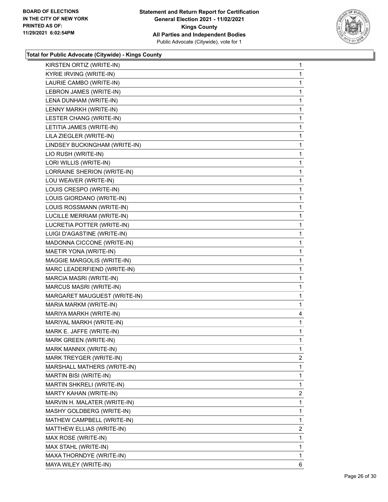

| KYRIE IRVING (WRITE-IN)<br>LAURIE CAMBO (WRITE-IN)<br>LEBRON JAMES (WRITE-IN)<br>LENA DUNHAM (WRITE-IN)<br>LENNY MARKH (WRITE-IN) | 1<br>1<br>1<br>1                                                                                                                                                                                                                                                                                                                                                                                                                                                                                                                                                                                                                                                                                                                                                                                                                                                                                                                                                                                                                                                                |
|-----------------------------------------------------------------------------------------------------------------------------------|---------------------------------------------------------------------------------------------------------------------------------------------------------------------------------------------------------------------------------------------------------------------------------------------------------------------------------------------------------------------------------------------------------------------------------------------------------------------------------------------------------------------------------------------------------------------------------------------------------------------------------------------------------------------------------------------------------------------------------------------------------------------------------------------------------------------------------------------------------------------------------------------------------------------------------------------------------------------------------------------------------------------------------------------------------------------------------|
|                                                                                                                                   |                                                                                                                                                                                                                                                                                                                                                                                                                                                                                                                                                                                                                                                                                                                                                                                                                                                                                                                                                                                                                                                                                 |
|                                                                                                                                   |                                                                                                                                                                                                                                                                                                                                                                                                                                                                                                                                                                                                                                                                                                                                                                                                                                                                                                                                                                                                                                                                                 |
|                                                                                                                                   |                                                                                                                                                                                                                                                                                                                                                                                                                                                                                                                                                                                                                                                                                                                                                                                                                                                                                                                                                                                                                                                                                 |
|                                                                                                                                   |                                                                                                                                                                                                                                                                                                                                                                                                                                                                                                                                                                                                                                                                                                                                                                                                                                                                                                                                                                                                                                                                                 |
|                                                                                                                                   | 1                                                                                                                                                                                                                                                                                                                                                                                                                                                                                                                                                                                                                                                                                                                                                                                                                                                                                                                                                                                                                                                                               |
| LESTER CHANG (WRITE-IN)                                                                                                           | 1                                                                                                                                                                                                                                                                                                                                                                                                                                                                                                                                                                                                                                                                                                                                                                                                                                                                                                                                                                                                                                                                               |
| LETITIA JAMES (WRITE-IN)                                                                                                          | 1                                                                                                                                                                                                                                                                                                                                                                                                                                                                                                                                                                                                                                                                                                                                                                                                                                                                                                                                                                                                                                                                               |
| LILA ZIEGLER (WRITE-IN)                                                                                                           | 1                                                                                                                                                                                                                                                                                                                                                                                                                                                                                                                                                                                                                                                                                                                                                                                                                                                                                                                                                                                                                                                                               |
|                                                                                                                                   | 1                                                                                                                                                                                                                                                                                                                                                                                                                                                                                                                                                                                                                                                                                                                                                                                                                                                                                                                                                                                                                                                                               |
|                                                                                                                                   | 1                                                                                                                                                                                                                                                                                                                                                                                                                                                                                                                                                                                                                                                                                                                                                                                                                                                                                                                                                                                                                                                                               |
|                                                                                                                                   | 1                                                                                                                                                                                                                                                                                                                                                                                                                                                                                                                                                                                                                                                                                                                                                                                                                                                                                                                                                                                                                                                                               |
|                                                                                                                                   | 1                                                                                                                                                                                                                                                                                                                                                                                                                                                                                                                                                                                                                                                                                                                                                                                                                                                                                                                                                                                                                                                                               |
|                                                                                                                                   | 1                                                                                                                                                                                                                                                                                                                                                                                                                                                                                                                                                                                                                                                                                                                                                                                                                                                                                                                                                                                                                                                                               |
|                                                                                                                                   | 1                                                                                                                                                                                                                                                                                                                                                                                                                                                                                                                                                                                                                                                                                                                                                                                                                                                                                                                                                                                                                                                                               |
|                                                                                                                                   | 1                                                                                                                                                                                                                                                                                                                                                                                                                                                                                                                                                                                                                                                                                                                                                                                                                                                                                                                                                                                                                                                                               |
|                                                                                                                                   | 1                                                                                                                                                                                                                                                                                                                                                                                                                                                                                                                                                                                                                                                                                                                                                                                                                                                                                                                                                                                                                                                                               |
|                                                                                                                                   | 1                                                                                                                                                                                                                                                                                                                                                                                                                                                                                                                                                                                                                                                                                                                                                                                                                                                                                                                                                                                                                                                                               |
|                                                                                                                                   | 1                                                                                                                                                                                                                                                                                                                                                                                                                                                                                                                                                                                                                                                                                                                                                                                                                                                                                                                                                                                                                                                                               |
|                                                                                                                                   | 1                                                                                                                                                                                                                                                                                                                                                                                                                                                                                                                                                                                                                                                                                                                                                                                                                                                                                                                                                                                                                                                                               |
|                                                                                                                                   | 1                                                                                                                                                                                                                                                                                                                                                                                                                                                                                                                                                                                                                                                                                                                                                                                                                                                                                                                                                                                                                                                                               |
|                                                                                                                                   | 1                                                                                                                                                                                                                                                                                                                                                                                                                                                                                                                                                                                                                                                                                                                                                                                                                                                                                                                                                                                                                                                                               |
|                                                                                                                                   | 1                                                                                                                                                                                                                                                                                                                                                                                                                                                                                                                                                                                                                                                                                                                                                                                                                                                                                                                                                                                                                                                                               |
|                                                                                                                                   | 1                                                                                                                                                                                                                                                                                                                                                                                                                                                                                                                                                                                                                                                                                                                                                                                                                                                                                                                                                                                                                                                                               |
|                                                                                                                                   | 1                                                                                                                                                                                                                                                                                                                                                                                                                                                                                                                                                                                                                                                                                                                                                                                                                                                                                                                                                                                                                                                                               |
|                                                                                                                                   | 1                                                                                                                                                                                                                                                                                                                                                                                                                                                                                                                                                                                                                                                                                                                                                                                                                                                                                                                                                                                                                                                                               |
|                                                                                                                                   | 1                                                                                                                                                                                                                                                                                                                                                                                                                                                                                                                                                                                                                                                                                                                                                                                                                                                                                                                                                                                                                                                                               |
|                                                                                                                                   | 1                                                                                                                                                                                                                                                                                                                                                                                                                                                                                                                                                                                                                                                                                                                                                                                                                                                                                                                                                                                                                                                                               |
|                                                                                                                                   | 4                                                                                                                                                                                                                                                                                                                                                                                                                                                                                                                                                                                                                                                                                                                                                                                                                                                                                                                                                                                                                                                                               |
|                                                                                                                                   | 1                                                                                                                                                                                                                                                                                                                                                                                                                                                                                                                                                                                                                                                                                                                                                                                                                                                                                                                                                                                                                                                                               |
|                                                                                                                                   | 1                                                                                                                                                                                                                                                                                                                                                                                                                                                                                                                                                                                                                                                                                                                                                                                                                                                                                                                                                                                                                                                                               |
|                                                                                                                                   | 1                                                                                                                                                                                                                                                                                                                                                                                                                                                                                                                                                                                                                                                                                                                                                                                                                                                                                                                                                                                                                                                                               |
|                                                                                                                                   | 1                                                                                                                                                                                                                                                                                                                                                                                                                                                                                                                                                                                                                                                                                                                                                                                                                                                                                                                                                                                                                                                                               |
|                                                                                                                                   | $\overline{2}$                                                                                                                                                                                                                                                                                                                                                                                                                                                                                                                                                                                                                                                                                                                                                                                                                                                                                                                                                                                                                                                                  |
|                                                                                                                                   | 1                                                                                                                                                                                                                                                                                                                                                                                                                                                                                                                                                                                                                                                                                                                                                                                                                                                                                                                                                                                                                                                                               |
|                                                                                                                                   | 1                                                                                                                                                                                                                                                                                                                                                                                                                                                                                                                                                                                                                                                                                                                                                                                                                                                                                                                                                                                                                                                                               |
|                                                                                                                                   | 1                                                                                                                                                                                                                                                                                                                                                                                                                                                                                                                                                                                                                                                                                                                                                                                                                                                                                                                                                                                                                                                                               |
|                                                                                                                                   | $\overline{2}$                                                                                                                                                                                                                                                                                                                                                                                                                                                                                                                                                                                                                                                                                                                                                                                                                                                                                                                                                                                                                                                                  |
|                                                                                                                                   | 1                                                                                                                                                                                                                                                                                                                                                                                                                                                                                                                                                                                                                                                                                                                                                                                                                                                                                                                                                                                                                                                                               |
|                                                                                                                                   | 1                                                                                                                                                                                                                                                                                                                                                                                                                                                                                                                                                                                                                                                                                                                                                                                                                                                                                                                                                                                                                                                                               |
|                                                                                                                                   | 1                                                                                                                                                                                                                                                                                                                                                                                                                                                                                                                                                                                                                                                                                                                                                                                                                                                                                                                                                                                                                                                                               |
|                                                                                                                                   | $\overline{2}$                                                                                                                                                                                                                                                                                                                                                                                                                                                                                                                                                                                                                                                                                                                                                                                                                                                                                                                                                                                                                                                                  |
|                                                                                                                                   | 1                                                                                                                                                                                                                                                                                                                                                                                                                                                                                                                                                                                                                                                                                                                                                                                                                                                                                                                                                                                                                                                                               |
|                                                                                                                                   | 1                                                                                                                                                                                                                                                                                                                                                                                                                                                                                                                                                                                                                                                                                                                                                                                                                                                                                                                                                                                                                                                                               |
|                                                                                                                                   | 1                                                                                                                                                                                                                                                                                                                                                                                                                                                                                                                                                                                                                                                                                                                                                                                                                                                                                                                                                                                                                                                                               |
|                                                                                                                                   | 6                                                                                                                                                                                                                                                                                                                                                                                                                                                                                                                                                                                                                                                                                                                                                                                                                                                                                                                                                                                                                                                                               |
|                                                                                                                                   | LINDSEY BUCKINGHAM (WRITE-IN)<br>LIO RUSH (WRITE-IN)<br>LORI WILLIS (WRITE-IN)<br>LORRAINE SHERION (WRITE-IN)<br>LOU WEAVER (WRITE-IN)<br>LOUIS CRESPO (WRITE-IN)<br>LOUIS GIORDANO (WRITE-IN)<br>LOUIS ROSSMANN (WRITE-IN)<br>LUCILLE MERRIAM (WRITE-IN)<br>LUCRETIA POTTER (WRITE-IN)<br>LUIGI D'AGASTINE (WRITE-IN)<br>MADONNA CICCONE (WRITE-IN)<br>MAETIR YONA (WRITE-IN)<br>MAGGIE MARGOLIS (WRITE-IN)<br>MARC LEADERFIEND (WRITE-IN)<br>MARCIA MASRI (WRITE-IN)<br><b>MARCUS MASRI (WRITE-IN)</b><br>MARGARET MAUGUEST (WRITE-IN)<br>MARIA MARKM (WRITE-IN)<br>MARIYA MARKH (WRITE-IN)<br>MARIYAL MARKH (WRITE-IN)<br>MARK E. JAFFE (WRITE-IN)<br>MARK GREEN (WRITE-IN)<br>MARK MANNIX (WRITE-IN)<br>MARK TREYGER (WRITE-IN)<br>MARSHALL MATHERS (WRITE-IN)<br>MARTIN BISI (WRITE-IN)<br>MARTIN SHKRELI (WRITE-IN)<br>MARTY KAHAN (WRITE-IN)<br>MARVIN H. MALATER (WRITE-IN)<br>MASHY GOLDBERG (WRITE-IN)<br>MATHEW CAMPBELL (WRITE-IN)<br>MATTHEW ELLIAS (WRITE-IN)<br>MAX ROSE (WRITE-IN)<br>MAX STAHL (WRITE-IN)<br>MAXA THORNDYE (WRITE-IN)<br>MAYA WILEY (WRITE-IN) |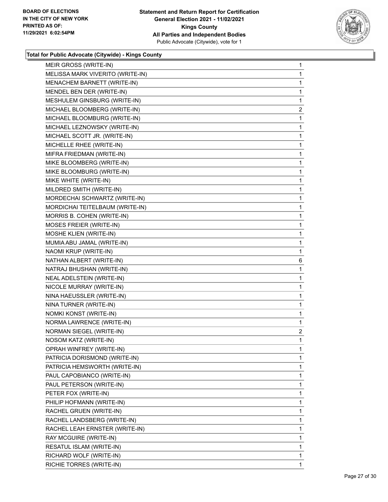

| MELISSA MARK VIVERITO (WRITE-IN)<br>MENACHEM BARNETT (WRITE-IN)<br>MENDEL BEN DER (WRITE-IN)<br>MESHULEM GINSBURG (WRITE-IN)<br>MICHAEL BLOOMBERG (WRITE-IN)<br>MICHAEL BLOOMBURG (WRITE-IN)<br>MICHAEL LEZNOWSKY (WRITE-IN)<br>MICHAEL SCOTT JR. (WRITE-IN)<br>MICHELLE RHEE (WRITE-IN)<br>MIFRA FRIEDMAN (WRITE-IN)<br>MIKE BLOOMBERG (WRITE-IN)<br>MIKE BLOOMBURG (WRITE-IN)<br>MIKE WHITE (WRITE-IN)<br>MILDRED SMITH (WRITE-IN)<br>MORDECHAI SCHWARTZ (WRITE-IN)<br>MORDICHAI TEITELBAUM (WRITE-IN)<br>MORRIS B. COHEN (WRITE-IN)<br>MOSES FREIER (WRITE-IN)<br>MOSHE KLIEN (WRITE-IN)<br>MUMIA ABU JAMAL (WRITE-IN)<br>NAOMI KRUP (WRITE-IN)<br>NATHAN ALBERT (WRITE-IN)<br>NATRAJ BHUSHAN (WRITE-IN)<br>NEAL ADELSTEIN (WRITE-IN)<br>NICOLE MURRAY (WRITE-IN)<br>NINA HAEUSSLER (WRITE-IN)<br>NINA TURNER (WRITE-IN)<br>NOMKI KONST (WRITE-IN)<br>NORMA LAWRENCE (WRITE-IN)<br><b>NORMAN SIEGEL (WRITE-IN)</b><br>NOSOM KATZ (WRITE-IN)<br>OPRAH WINFREY (WRITE-IN)<br>PATRICIA DORISMOND (WRITE-IN)<br>PATRICIA HEMSWORTH (WRITE-IN)<br>PAUL CAPOBIANCO (WRITE-IN)<br>PAUL PETERSON (WRITE-IN)<br>PETER FOX (WRITE-IN)<br>PHILIP HOFMANN (WRITE-IN)<br>RACHEL GRUEN (WRITE-IN)<br>RACHEL LANDSBERG (WRITE-IN)<br>RACHEL LEAH ERNSTER (WRITE-IN)<br>RAY MCGUIRE (WRITE-IN)<br>RESATUL ISLAM (WRITE-IN)<br>RICHARD WOLF (WRITE-IN) | MEIR GROSS (WRITE-IN)    | $\mathbf{1}$   |
|------------------------------------------------------------------------------------------------------------------------------------------------------------------------------------------------------------------------------------------------------------------------------------------------------------------------------------------------------------------------------------------------------------------------------------------------------------------------------------------------------------------------------------------------------------------------------------------------------------------------------------------------------------------------------------------------------------------------------------------------------------------------------------------------------------------------------------------------------------------------------------------------------------------------------------------------------------------------------------------------------------------------------------------------------------------------------------------------------------------------------------------------------------------------------------------------------------------------------------------------------------------------------------------------------------------------------------------|--------------------------|----------------|
|                                                                                                                                                                                                                                                                                                                                                                                                                                                                                                                                                                                                                                                                                                                                                                                                                                                                                                                                                                                                                                                                                                                                                                                                                                                                                                                                          |                          | 1              |
|                                                                                                                                                                                                                                                                                                                                                                                                                                                                                                                                                                                                                                                                                                                                                                                                                                                                                                                                                                                                                                                                                                                                                                                                                                                                                                                                          |                          | 1              |
|                                                                                                                                                                                                                                                                                                                                                                                                                                                                                                                                                                                                                                                                                                                                                                                                                                                                                                                                                                                                                                                                                                                                                                                                                                                                                                                                          |                          | 1              |
|                                                                                                                                                                                                                                                                                                                                                                                                                                                                                                                                                                                                                                                                                                                                                                                                                                                                                                                                                                                                                                                                                                                                                                                                                                                                                                                                          |                          | 1              |
|                                                                                                                                                                                                                                                                                                                                                                                                                                                                                                                                                                                                                                                                                                                                                                                                                                                                                                                                                                                                                                                                                                                                                                                                                                                                                                                                          |                          | 2              |
|                                                                                                                                                                                                                                                                                                                                                                                                                                                                                                                                                                                                                                                                                                                                                                                                                                                                                                                                                                                                                                                                                                                                                                                                                                                                                                                                          |                          | 1              |
|                                                                                                                                                                                                                                                                                                                                                                                                                                                                                                                                                                                                                                                                                                                                                                                                                                                                                                                                                                                                                                                                                                                                                                                                                                                                                                                                          |                          | 1              |
|                                                                                                                                                                                                                                                                                                                                                                                                                                                                                                                                                                                                                                                                                                                                                                                                                                                                                                                                                                                                                                                                                                                                                                                                                                                                                                                                          |                          | 1              |
|                                                                                                                                                                                                                                                                                                                                                                                                                                                                                                                                                                                                                                                                                                                                                                                                                                                                                                                                                                                                                                                                                                                                                                                                                                                                                                                                          |                          | 1              |
|                                                                                                                                                                                                                                                                                                                                                                                                                                                                                                                                                                                                                                                                                                                                                                                                                                                                                                                                                                                                                                                                                                                                                                                                                                                                                                                                          |                          | 1              |
|                                                                                                                                                                                                                                                                                                                                                                                                                                                                                                                                                                                                                                                                                                                                                                                                                                                                                                                                                                                                                                                                                                                                                                                                                                                                                                                                          |                          | 1              |
|                                                                                                                                                                                                                                                                                                                                                                                                                                                                                                                                                                                                                                                                                                                                                                                                                                                                                                                                                                                                                                                                                                                                                                                                                                                                                                                                          |                          | 1              |
|                                                                                                                                                                                                                                                                                                                                                                                                                                                                                                                                                                                                                                                                                                                                                                                                                                                                                                                                                                                                                                                                                                                                                                                                                                                                                                                                          |                          | 1              |
|                                                                                                                                                                                                                                                                                                                                                                                                                                                                                                                                                                                                                                                                                                                                                                                                                                                                                                                                                                                                                                                                                                                                                                                                                                                                                                                                          |                          | 1              |
|                                                                                                                                                                                                                                                                                                                                                                                                                                                                                                                                                                                                                                                                                                                                                                                                                                                                                                                                                                                                                                                                                                                                                                                                                                                                                                                                          |                          | 1              |
|                                                                                                                                                                                                                                                                                                                                                                                                                                                                                                                                                                                                                                                                                                                                                                                                                                                                                                                                                                                                                                                                                                                                                                                                                                                                                                                                          |                          | 1              |
|                                                                                                                                                                                                                                                                                                                                                                                                                                                                                                                                                                                                                                                                                                                                                                                                                                                                                                                                                                                                                                                                                                                                                                                                                                                                                                                                          |                          | 1              |
|                                                                                                                                                                                                                                                                                                                                                                                                                                                                                                                                                                                                                                                                                                                                                                                                                                                                                                                                                                                                                                                                                                                                                                                                                                                                                                                                          |                          | 1              |
|                                                                                                                                                                                                                                                                                                                                                                                                                                                                                                                                                                                                                                                                                                                                                                                                                                                                                                                                                                                                                                                                                                                                                                                                                                                                                                                                          |                          | 1              |
|                                                                                                                                                                                                                                                                                                                                                                                                                                                                                                                                                                                                                                                                                                                                                                                                                                                                                                                                                                                                                                                                                                                                                                                                                                                                                                                                          |                          | 1              |
|                                                                                                                                                                                                                                                                                                                                                                                                                                                                                                                                                                                                                                                                                                                                                                                                                                                                                                                                                                                                                                                                                                                                                                                                                                                                                                                                          |                          | 1              |
|                                                                                                                                                                                                                                                                                                                                                                                                                                                                                                                                                                                                                                                                                                                                                                                                                                                                                                                                                                                                                                                                                                                                                                                                                                                                                                                                          |                          | 6              |
|                                                                                                                                                                                                                                                                                                                                                                                                                                                                                                                                                                                                                                                                                                                                                                                                                                                                                                                                                                                                                                                                                                                                                                                                                                                                                                                                          |                          | 1              |
|                                                                                                                                                                                                                                                                                                                                                                                                                                                                                                                                                                                                                                                                                                                                                                                                                                                                                                                                                                                                                                                                                                                                                                                                                                                                                                                                          |                          | 1              |
|                                                                                                                                                                                                                                                                                                                                                                                                                                                                                                                                                                                                                                                                                                                                                                                                                                                                                                                                                                                                                                                                                                                                                                                                                                                                                                                                          |                          | 1              |
|                                                                                                                                                                                                                                                                                                                                                                                                                                                                                                                                                                                                                                                                                                                                                                                                                                                                                                                                                                                                                                                                                                                                                                                                                                                                                                                                          |                          | 1              |
|                                                                                                                                                                                                                                                                                                                                                                                                                                                                                                                                                                                                                                                                                                                                                                                                                                                                                                                                                                                                                                                                                                                                                                                                                                                                                                                                          |                          | 1              |
|                                                                                                                                                                                                                                                                                                                                                                                                                                                                                                                                                                                                                                                                                                                                                                                                                                                                                                                                                                                                                                                                                                                                                                                                                                                                                                                                          |                          | 1              |
|                                                                                                                                                                                                                                                                                                                                                                                                                                                                                                                                                                                                                                                                                                                                                                                                                                                                                                                                                                                                                                                                                                                                                                                                                                                                                                                                          |                          | 1              |
|                                                                                                                                                                                                                                                                                                                                                                                                                                                                                                                                                                                                                                                                                                                                                                                                                                                                                                                                                                                                                                                                                                                                                                                                                                                                                                                                          |                          | $\overline{a}$ |
|                                                                                                                                                                                                                                                                                                                                                                                                                                                                                                                                                                                                                                                                                                                                                                                                                                                                                                                                                                                                                                                                                                                                                                                                                                                                                                                                          |                          | 1              |
|                                                                                                                                                                                                                                                                                                                                                                                                                                                                                                                                                                                                                                                                                                                                                                                                                                                                                                                                                                                                                                                                                                                                                                                                                                                                                                                                          |                          | 1              |
|                                                                                                                                                                                                                                                                                                                                                                                                                                                                                                                                                                                                                                                                                                                                                                                                                                                                                                                                                                                                                                                                                                                                                                                                                                                                                                                                          |                          | 1              |
|                                                                                                                                                                                                                                                                                                                                                                                                                                                                                                                                                                                                                                                                                                                                                                                                                                                                                                                                                                                                                                                                                                                                                                                                                                                                                                                                          |                          | 1              |
|                                                                                                                                                                                                                                                                                                                                                                                                                                                                                                                                                                                                                                                                                                                                                                                                                                                                                                                                                                                                                                                                                                                                                                                                                                                                                                                                          |                          | 1              |
|                                                                                                                                                                                                                                                                                                                                                                                                                                                                                                                                                                                                                                                                                                                                                                                                                                                                                                                                                                                                                                                                                                                                                                                                                                                                                                                                          |                          | 1              |
|                                                                                                                                                                                                                                                                                                                                                                                                                                                                                                                                                                                                                                                                                                                                                                                                                                                                                                                                                                                                                                                                                                                                                                                                                                                                                                                                          |                          | 1              |
|                                                                                                                                                                                                                                                                                                                                                                                                                                                                                                                                                                                                                                                                                                                                                                                                                                                                                                                                                                                                                                                                                                                                                                                                                                                                                                                                          |                          | 1              |
|                                                                                                                                                                                                                                                                                                                                                                                                                                                                                                                                                                                                                                                                                                                                                                                                                                                                                                                                                                                                                                                                                                                                                                                                                                                                                                                                          |                          | 1              |
|                                                                                                                                                                                                                                                                                                                                                                                                                                                                                                                                                                                                                                                                                                                                                                                                                                                                                                                                                                                                                                                                                                                                                                                                                                                                                                                                          |                          | 1              |
|                                                                                                                                                                                                                                                                                                                                                                                                                                                                                                                                                                                                                                                                                                                                                                                                                                                                                                                                                                                                                                                                                                                                                                                                                                                                                                                                          |                          | 1              |
|                                                                                                                                                                                                                                                                                                                                                                                                                                                                                                                                                                                                                                                                                                                                                                                                                                                                                                                                                                                                                                                                                                                                                                                                                                                                                                                                          |                          | 1              |
|                                                                                                                                                                                                                                                                                                                                                                                                                                                                                                                                                                                                                                                                                                                                                                                                                                                                                                                                                                                                                                                                                                                                                                                                                                                                                                                                          |                          | 1              |
|                                                                                                                                                                                                                                                                                                                                                                                                                                                                                                                                                                                                                                                                                                                                                                                                                                                                                                                                                                                                                                                                                                                                                                                                                                                                                                                                          |                          | 1              |
|                                                                                                                                                                                                                                                                                                                                                                                                                                                                                                                                                                                                                                                                                                                                                                                                                                                                                                                                                                                                                                                                                                                                                                                                                                                                                                                                          | RICHIE TORRES (WRITE-IN) | 1              |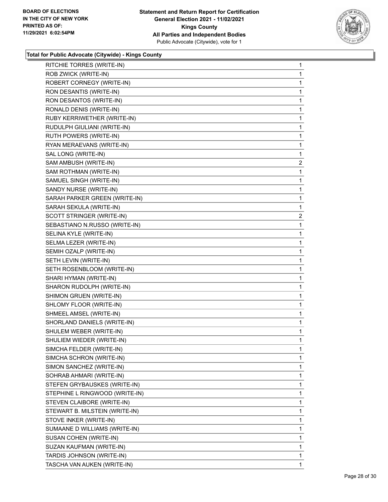

| RITCHIE TORRES (WRITE-IN)      | 1 |
|--------------------------------|---|
| ROB ZWICK (WRITE-IN)           | 1 |
| ROBERT CORNEGY (WRITE-IN)      | 1 |
| RON DESANTIS (WRITE-IN)        | 1 |
| RON DESANTOS (WRITE-IN)        | 1 |
| RONALD DENIS (WRITE-IN)        | 1 |
| RUBY KERRIWETHER (WRITE-IN)    | 1 |
| RUDULPH GIULIANI (WRITE-IN)    | 1 |
| RUTH POWERS (WRITE-IN)         | 1 |
| RYAN MERAEVANS (WRITE-IN)      | 1 |
| SAL LONG (WRITE-IN)            | 1 |
| SAM AMBUSH (WRITE-IN)          | 2 |
| SAM ROTHMAN (WRITE-IN)         | 1 |
| SAMUEL SINGH (WRITE-IN)        | 1 |
| SANDY NURSE (WRITE-IN)         | 1 |
| SARAH PARKER GREEN (WRITE-IN)  | 1 |
| SARAH SEKULA (WRITE-IN)        | 1 |
| SCOTT STRINGER (WRITE-IN)      | 2 |
| SEBASTIANO N.RUSSO (WRITE-IN)  | 1 |
| SELINA KYLE (WRITE-IN)         | 1 |
| SELMA LEZER (WRITE-IN)         | 1 |
| SEMIH OZALP (WRITE-IN)         | 1 |
| SETH LEVIN (WRITE-IN)          | 1 |
| SETH ROSENBLOOM (WRITE-IN)     | 1 |
| SHARI HYMAN (WRITE-IN)         | 1 |
| SHARON RUDOLPH (WRITE-IN)      | 1 |
| SHIMON GRUEN (WRITE-IN)        | 1 |
| SHLOMY FLOOR (WRITE-IN)        | 1 |
| SHMEEL AMSEL (WRITE-IN)        | 1 |
| SHORLAND DANIELS (WRITE-IN)    | 1 |
| SHULEM WEBER (WRITE-IN)        | 1 |
| SHULIEM WIEDER (WRITE-IN)      | 1 |
| SIMCHA FELDER (WRITE-IN)       | 1 |
| SIMCHA SCHRON (WRITE-IN)       | 1 |
| SIMON SANCHEZ (WRITE-IN)       | 1 |
| SOHRAB AHMARI (WRITE-IN)       | 1 |
| STEFEN GRYBAUSKES (WRITE-IN)   | 1 |
| STEPHINE L RINGWOOD (WRITE-IN) | 1 |
| STEVEN CLAIBORE (WRITE-IN)     | 1 |
| STEWART B. MILSTEIN (WRITE-IN) | 1 |
| STOVE INKER (WRITE-IN)         | 1 |
| SUMAANE D WILLIAMS (WRITE-IN)  | 1 |
| SUSAN COHEN (WRITE-IN)         | 1 |
| SUZAN KAUFMAN (WRITE-IN)       | 1 |
| TARDIS JOHNSON (WRITE-IN)      | 1 |
| TASCHA VAN AUKEN (WRITE-IN)    | 1 |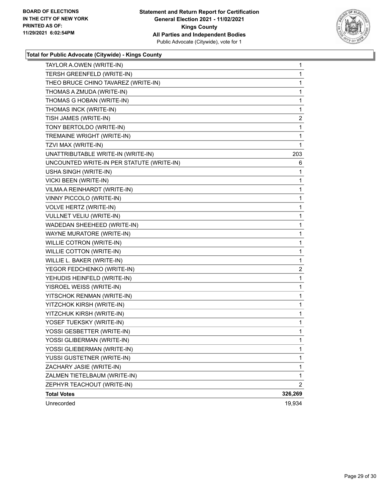

| TAYLOR A.OWEN (WRITE-IN)                  | 1              |
|-------------------------------------------|----------------|
| TERSH GREENFELD (WRITE-IN)                | $\mathbf{1}$   |
| THEO BRUCE CHINO TAVAREZ (WRITE-IN)       | 1              |
| THOMAS A ZMUDA (WRITE-IN)                 | $\mathbf{1}$   |
| THOMAS G HOBAN (WRITE-IN)                 | 1              |
| THOMAS INCK (WRITE-IN)                    | 1              |
| TISH JAMES (WRITE-IN)                     | $\overline{2}$ |
| TONY BERTOLDO (WRITE-IN)                  | 1              |
| TREMAINE WRIGHT (WRITE-IN)                | 1              |
| TZVI MAX (WRITE-IN)                       | $\mathbf{1}$   |
| UNATTRIBUTABLE WRITE-IN (WRITE-IN)        | 203            |
| UNCOUNTED WRITE-IN PER STATUTE (WRITE-IN) | 6              |
| USHA SINGH (WRITE-IN)                     | $\mathbf{1}$   |
| VICKI BEEN (WRITE-IN)                     | 1              |
| VILMA A REINHARDT (WRITE-IN)              | 1              |
| VINNY PICCOLO (WRITE-IN)                  | $\mathbf{1}$   |
| VOLVE HERTZ (WRITE-IN)                    | 1              |
| VULLNET VELIU (WRITE-IN)                  | 1              |
| WADEDAN SHEEHEED (WRITE-IN)               | $\mathbf{1}$   |
| WAYNE MURATORE (WRITE-IN)                 | 1              |
| WILLIE COTRON (WRITE-IN)                  | 1              |
| WILLIE COTTON (WRITE-IN)                  | $\mathbf{1}$   |
| WILLIE L. BAKER (WRITE-IN)                | 1              |
| YEGOR FEDCHENKO (WRITE-IN)                | 2              |
| YEHUDIS HEINFELD (WRITE-IN)               | $\mathbf{1}$   |
| YISROEL WEISS (WRITE-IN)                  | 1              |
| YITSCHOK RENMAN (WRITE-IN)                | 1              |
| YITZCHOK KIRSH (WRITE-IN)                 | $\mathbf{1}$   |
| YITZCHUK KIRSH (WRITE-IN)                 | 1              |
| YOSEF TUEKSKY (WRITE-IN)                  | 1              |
| YOSSI GESBETTER (WRITE-IN)                | $\mathbf{1}$   |
| YOSSI GLIBERMAN (WRITE-IN)                | 1              |
| YOSSI GLIEBERMAN (WRITE-IN)               | 1              |
| YUSSI GUSTETNER (WRITE-IN)                | $\mathbf{1}$   |
| ZACHARY JASIE (WRITE-IN)                  | $\mathbf{1}$   |
| ZALMEN TIETELBAUM (WRITE-IN)              | 1              |
| ZEPHYR TEACHOUT (WRITE-IN)                | $\overline{2}$ |
| <b>Total Votes</b>                        | 326,269        |
| Unrecorded                                | 19,934         |